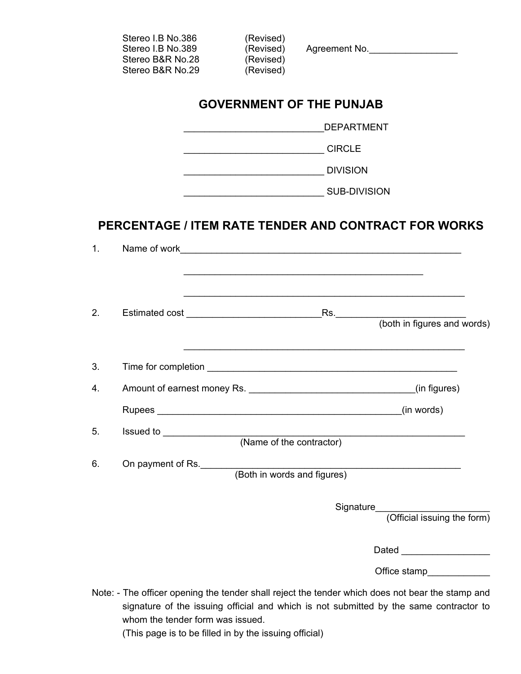|    | Stereo I.B No.386<br>Stereo I.B No.389<br>Stereo B&R No.28<br>Stereo B&R No.29             | (Revised)<br>(Revised)<br>(Revised) | (Revised) Agreement No.                                                                                                                                                                    |  |  |  |  |
|----|--------------------------------------------------------------------------------------------|-------------------------------------|--------------------------------------------------------------------------------------------------------------------------------------------------------------------------------------------|--|--|--|--|
|    |                                                                                            |                                     | <b>GOVERNMENT OF THE PUNJAB</b>                                                                                                                                                            |  |  |  |  |
|    |                                                                                            |                                     |                                                                                                                                                                                            |  |  |  |  |
|    |                                                                                            |                                     |                                                                                                                                                                                            |  |  |  |  |
|    |                                                                                            |                                     |                                                                                                                                                                                            |  |  |  |  |
|    |                                                                                            |                                     |                                                                                                                                                                                            |  |  |  |  |
|    |                                                                                            |                                     | PERCENTAGE / ITEM RATE TENDER AND CONTRACT FOR WORKS                                                                                                                                       |  |  |  |  |
| 1. |                                                                                            |                                     |                                                                                                                                                                                            |  |  |  |  |
|    |                                                                                            |                                     |                                                                                                                                                                                            |  |  |  |  |
|    |                                                                                            |                                     | <u> 1989 - Johann Stoff, amerikansk politiker (d. 1989)</u>                                                                                                                                |  |  |  |  |
| 2. |                                                                                            |                                     |                                                                                                                                                                                            |  |  |  |  |
|    |                                                                                            |                                     |                                                                                                                                                                                            |  |  |  |  |
| 3. |                                                                                            |                                     |                                                                                                                                                                                            |  |  |  |  |
| 4. |                                                                                            |                                     |                                                                                                                                                                                            |  |  |  |  |
|    |                                                                                            |                                     | (in words)                                                                                                                                                                                 |  |  |  |  |
| 5. |                                                                                            |                                     |                                                                                                                                                                                            |  |  |  |  |
|    |                                                                                            |                                     |                                                                                                                                                                                            |  |  |  |  |
| 6. | On payment of Rs.                                                                          |                                     | (Both in words and figures)                                                                                                                                                                |  |  |  |  |
|    |                                                                                            |                                     |                                                                                                                                                                                            |  |  |  |  |
|    |                                                                                            |                                     | Signature<br>(Official issuing the form)                                                                                                                                                   |  |  |  |  |
|    |                                                                                            |                                     |                                                                                                                                                                                            |  |  |  |  |
|    |                                                                                            |                                     |                                                                                                                                                                                            |  |  |  |  |
|    |                                                                                            |                                     | Office stamp_____________                                                                                                                                                                  |  |  |  |  |
|    | whom the tender form was issued.<br>(This page is to be filled in by the issuing official) |                                     | Note: - The officer opening the tender shall reject the tender which does not bear the stamp and<br>signature of the issuing official and which is not submitted by the same contractor to |  |  |  |  |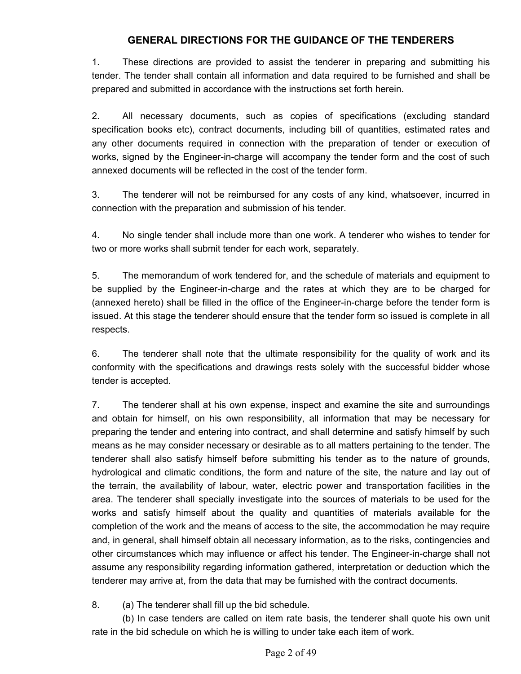## **GENERAL DIRECTIONS FOR THE GUIDANCE OF THE TENDERERS**

1. These directions are provided to assist the tenderer in preparing and submitting his tender. The tender shall contain all information and data required to be furnished and shall be prepared and submitted in accordance with the instructions set forth herein.

2. All necessary documents, such as copies of specifications (excluding standard specification books etc), contract documents, including bill of quantities, estimated rates and any other documents required in connection with the preparation of tender or execution of works, signed by the Engineer-in-charge will accompany the tender form and the cost of such annexed documents will be reflected in the cost of the tender form.

3. The tenderer will not be reimbursed for any costs of any kind, whatsoever, incurred in connection with the preparation and submission of his tender.

4. No single tender shall include more than one work. A tenderer who wishes to tender for two or more works shall submit tender for each work, separately.

5. The memorandum of work tendered for, and the schedule of materials and equipment to be supplied by the Engineer-in-charge and the rates at which they are to be charged for (annexed hereto) shall be filled in the office of the Engineer-in-charge before the tender form is issued. At this stage the tenderer should ensure that the tender form so issued is complete in all respects.

6. The tenderer shall note that the ultimate responsibility for the quality of work and its conformity with the specifications and drawings rests solely with the successful bidder whose tender is accepted.

7. The tenderer shall at his own expense, inspect and examine the site and surroundings and obtain for himself, on his own responsibility, all information that may be necessary for preparing the tender and entering into contract, and shall determine and satisfy himself by such means as he may consider necessary or desirable as to all matters pertaining to the tender. The tenderer shall also satisfy himself before submitting his tender as to the nature of grounds, hydrological and climatic conditions, the form and nature of the site, the nature and lay out of the terrain, the availability of labour, water, electric power and transportation facilities in the area. The tenderer shall specially investigate into the sources of materials to be used for the works and satisfy himself about the quality and quantities of materials available for the completion of the work and the means of access to the site, the accommodation he may require and, in general, shall himself obtain all necessary information, as to the risks, contingencies and other circumstances which may influence or affect his tender. The Engineer-in-charge shall not assume any responsibility regarding information gathered, interpretation or deduction which the tenderer may arrive at, from the data that may be furnished with the contract documents.

8. (a) The tenderer shall fill up the bid schedule.

(b) In case tenders are called on item rate basis, the tenderer shall quote his own unit rate in the bid schedule on which he is willing to under take each item of work.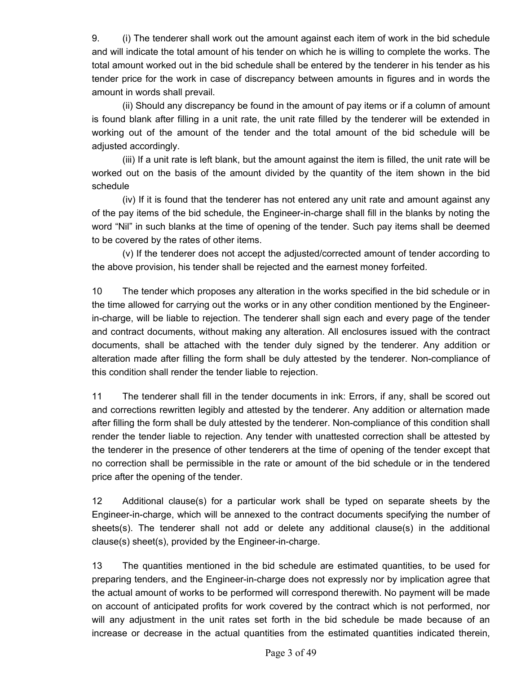9. (i) The tenderer shall work out the amount against each item of work in the bid schedule and will indicate the total amount of his tender on which he is willing to complete the works. The total amount worked out in the bid schedule shall be entered by the tenderer in his tender as his tender price for the work in case of discrepancy between amounts in figures and in words the amount in words shall prevail.

(ii) Should any discrepancy be found in the amount of pay items or if a column of amount is found blank after filling in a unit rate, the unit rate filled by the tenderer will be extended in working out of the amount of the tender and the total amount of the bid schedule will be adjusted accordingly.

(iii) If a unit rate is left blank, but the amount against the item is filled, the unit rate will be worked out on the basis of the amount divided by the quantity of the item shown in the bid schedule

(iv) If it is found that the tenderer has not entered any unit rate and amount against any of the pay items of the bid schedule, the Engineer-in-charge shall fill in the blanks by noting the word "Nil" in such blanks at the time of opening of the tender. Such pay items shall be deemed to be covered by the rates of other items.

(v) If the tenderer does not accept the adjusted/corrected amount of tender according to the above provision, his tender shall be rejected and the earnest money forfeited.

10 The tender which proposes any alteration in the works specified in the bid schedule or in the time allowed for carrying out the works or in any other condition mentioned by the Engineerin-charge, will be liable to rejection. The tenderer shall sign each and every page of the tender and contract documents, without making any alteration. All enclosures issued with the contract documents, shall be attached with the tender duly signed by the tenderer. Any addition or alteration made after filling the form shall be duly attested by the tenderer. Non-compliance of this condition shall render the tender liable to rejection.

11 The tenderer shall fill in the tender documents in ink: Errors, if any, shall be scored out and corrections rewritten legibly and attested by the tenderer. Any addition or alternation made after filling the form shall be duly attested by the tenderer. Non-compliance of this condition shall render the tender liable to rejection. Any tender with unattested correction shall be attested by the tenderer in the presence of other tenderers at the time of opening of the tender except that no correction shall be permissible in the rate or amount of the bid schedule or in the tendered price after the opening of the tender.

12 Additional clause(s) for a particular work shall be typed on separate sheets by the Engineer-in-charge, which will be annexed to the contract documents specifying the number of sheets(s). The tenderer shall not add or delete any additional clause(s) in the additional clause(s) sheet(s), provided by the Engineer-in-charge.

13 The quantities mentioned in the bid schedule are estimated quantities, to be used for preparing tenders, and the Engineer-in-charge does not expressly nor by implication agree that the actual amount of works to be performed will correspond therewith. No payment will be made on account of anticipated profits for work covered by the contract which is not performed, nor will any adjustment in the unit rates set forth in the bid schedule be made because of an increase or decrease in the actual quantities from the estimated quantities indicated therein,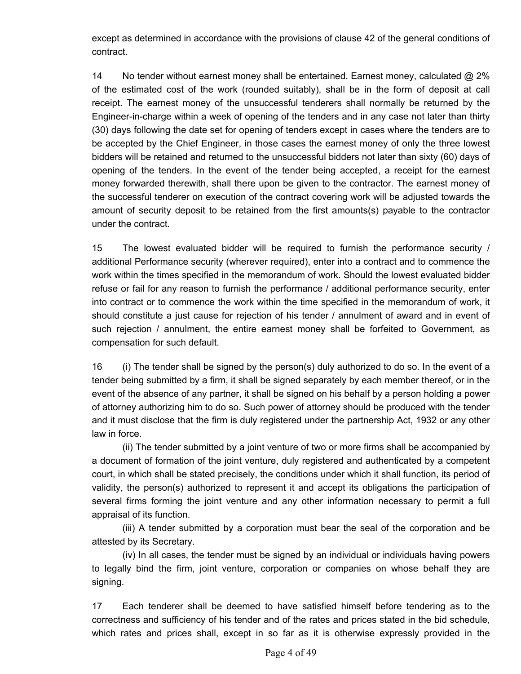except as determined in accordance with the provisions of clause 42 of the general conditions of contract.

14 No tender without earnest money shall be entertained. Earnest money, calculated @ 2% of the estimated cost of the work (rounded suitably), shall be in the form of deposit at call receipt. The earnest money of the unsuccessful tenderers shall normally be returned by the Engineer-in-charge within a week of opening of the tenders and in any case not later than thirty (30) days following the date set for opening of tenders except in cases where the tenders are to be accepted by the Chief Engineer, in those cases the earnest money of only the three lowest bidders will be retained and returned to the unsuccessful bidders not later than sixty (60) days of opening of the tenders. In the event of the tender being accepted, a receipt for the earnest money forwarded therewith, shall there upon be given to the contractor. The earnest money of the successful tenderer on execution of the contract covering work will be adjusted towards the amount of security deposit to be retained from the first amounts(s) payable to the contractor under the contract.

15 The lowest evaluated bidder will be required to furnish the performance security / additional Performance security (wherever required), enter into a contract and to commence the work within the times specified in the memorandum of work. Should the lowest evaluated bidder refuse or fail for any reason to furnish the performance / additional performance security, enter into contract or to commence the work within the time specified in the memorandum of work, it should constitute a just cause for rejection of his tender / annulment of award and in event of such rejection / annulment, the entire earnest money shall be forfeited to Government, as compensation for such default.

16 (i) The tender shall be signed by the person(s) duly authorized to do so. In the event of a tender being submitted by a firm, it shall be signed separately by each member thereof, or in the event of the absence of any partner, it shall be signed on his behalf by a person holding a power of attorney authorizing him to do so. Such power of attorney should be produced with the tender and it must disclose that the firm is duly registered under the partnership Act, 1932 or any other law in force.

(ii) The tender submitted by a joint venture of two or more firms shall be accompanied by a document of formation of the joint venture, duly registered and authenticated by a competent court, in which shall be stated precisely, the conditions under which it shall function, its period of validity, the person(s) authorized to represent it and accept its obligations the participation of several firms forming the joint venture and any other information necessary to permit a full appraisal of its function.

(iii) A tender submitted by a corporation must bear the seal of the corporation and be attested by its Secretary.

(iv) In all cases, the tender must be signed by an individual or individuals having powers to legally bind the firm, joint venture, corporation or companies on whose behalf they are signing.

17 Each tenderer shall be deemed to have satisfied himself before tendering as to the correctness and sufficiency of his tender and of the rates and prices stated in the bid schedule, which rates and prices shall, except in so far as it is otherwise expressly provided in the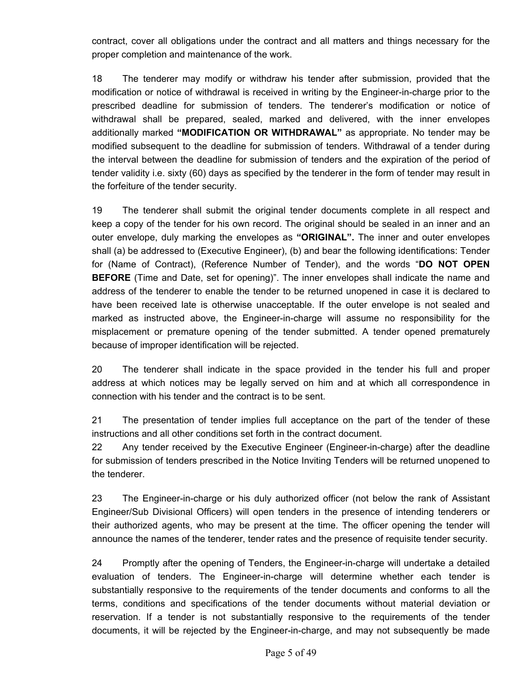contract, cover all obligations under the contract and all matters and things necessary for the proper completion and maintenance of the work.

18 The tenderer may modify or withdraw his tender after submission, provided that the modification or notice of withdrawal is received in writing by the Engineer-in-charge prior to the prescribed deadline for submission of tenders. The tenderer's modification or notice of withdrawal shall be prepared, sealed, marked and delivered, with the inner envelopes additionally marked **"MODIFICATION OR WITHDRAWAL"** as appropriate. No tender may be modified subsequent to the deadline for submission of tenders. Withdrawal of a tender during the interval between the deadline for submission of tenders and the expiration of the period of tender validity i.e. sixty (60) days as specified by the tenderer in the form of tender may result in the forfeiture of the tender security.

19 The tenderer shall submit the original tender documents complete in all respect and keep a copy of the tender for his own record. The original should be sealed in an inner and an outer envelope, duly marking the envelopes as **"ORIGINAL".** The inner and outer envelopes shall (a) be addressed to (Executive Engineer), (b) and bear the following identifications: Tender for (Name of Contract), (Reference Number of Tender), and the words "**DO NOT OPEN BEFORE** (Time and Date, set for opening)". The inner envelopes shall indicate the name and address of the tenderer to enable the tender to be returned unopened in case it is declared to have been received late is otherwise unacceptable. If the outer envelope is not sealed and marked as instructed above, the Engineer-in-charge will assume no responsibility for the misplacement or premature opening of the tender submitted. A tender opened prematurely because of improper identification will be rejected.

20 The tenderer shall indicate in the space provided in the tender his full and proper address at which notices may be legally served on him and at which all correspondence in connection with his tender and the contract is to be sent.

21 The presentation of tender implies full acceptance on the part of the tender of these instructions and all other conditions set forth in the contract document.

22 Any tender received by the Executive Engineer (Engineer-in-charge) after the deadline for submission of tenders prescribed in the Notice Inviting Tenders will be returned unopened to the tenderer.

23 The Engineer-in-charge or his duly authorized officer (not below the rank of Assistant Engineer/Sub Divisional Officers) will open tenders in the presence of intending tenderers or their authorized agents, who may be present at the time. The officer opening the tender will announce the names of the tenderer, tender rates and the presence of requisite tender security.

24 Promptly after the opening of Tenders, the Engineer-in-charge will undertake a detailed evaluation of tenders. The Engineer-in-charge will determine whether each tender is substantially responsive to the requirements of the tender documents and conforms to all the terms, conditions and specifications of the tender documents without material deviation or reservation. If a tender is not substantially responsive to the requirements of the tender documents, it will be rejected by the Engineer-in-charge, and may not subsequently be made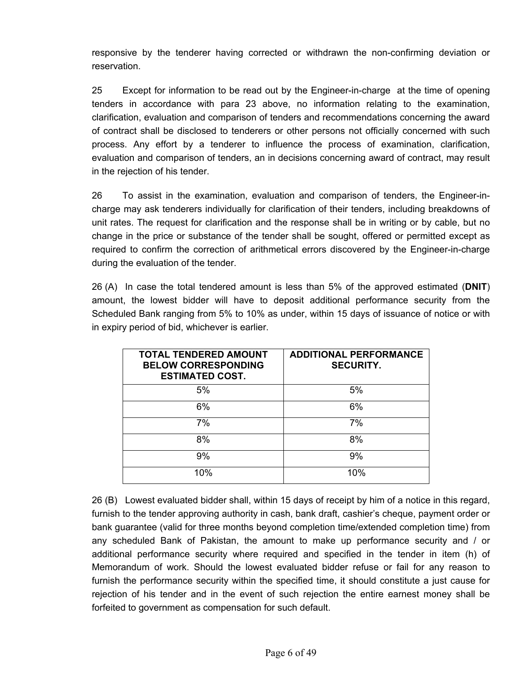responsive by the tenderer having corrected or withdrawn the non-confirming deviation or reservation.

25 Except for information to be read out by the Engineer-in-charge at the time of opening tenders in accordance with para 23 above, no information relating to the examination, clarification, evaluation and comparison of tenders and recommendations concerning the award of contract shall be disclosed to tenderers or other persons not officially concerned with such process. Any effort by a tenderer to influence the process of examination, clarification, evaluation and comparison of tenders, an in decisions concerning award of contract, may result in the rejection of his tender.

26 To assist in the examination, evaluation and comparison of tenders, the Engineer-incharge may ask tenderers individually for clarification of their tenders, including breakdowns of unit rates. The request for clarification and the response shall be in writing or by cable, but no change in the price or substance of the tender shall be sought, offered or permitted except as required to confirm the correction of arithmetical errors discovered by the Engineer-in-charge during the evaluation of the tender.

26 (A) In case the total tendered amount is less than 5% of the approved estimated (**DNIT**) amount, the lowest bidder will have to deposit additional performance security from the Scheduled Bank ranging from 5% to 10% as under, within 15 days of issuance of notice or with in expiry period of bid, whichever is earlier.

| <b>TOTAL TENDERED AMOUNT</b><br><b>BELOW CORRESPONDING</b><br><b>ESTIMATED COST.</b> | <b>ADDITIONAL PERFORMANCE</b><br><b>SECURITY.</b> |
|--------------------------------------------------------------------------------------|---------------------------------------------------|
| 5%                                                                                   | 5%                                                |
| 6%                                                                                   | 6%                                                |
| 7%                                                                                   | 7%                                                |
| 8%                                                                                   | 8%                                                |
| 9%                                                                                   | 9%                                                |
| 10%                                                                                  | 10%                                               |

26 (B) Lowest evaluated bidder shall, within 15 days of receipt by him of a notice in this regard, furnish to the tender approving authority in cash, bank draft, cashier's cheque, payment order or bank guarantee (valid for three months beyond completion time/extended completion time) from any scheduled Bank of Pakistan, the amount to make up performance security and / or additional performance security where required and specified in the tender in item (h) of Memorandum of work. Should the lowest evaluated bidder refuse or fail for any reason to furnish the performance security within the specified time, it should constitute a just cause for rejection of his tender and in the event of such rejection the entire earnest money shall be forfeited to government as compensation for such default.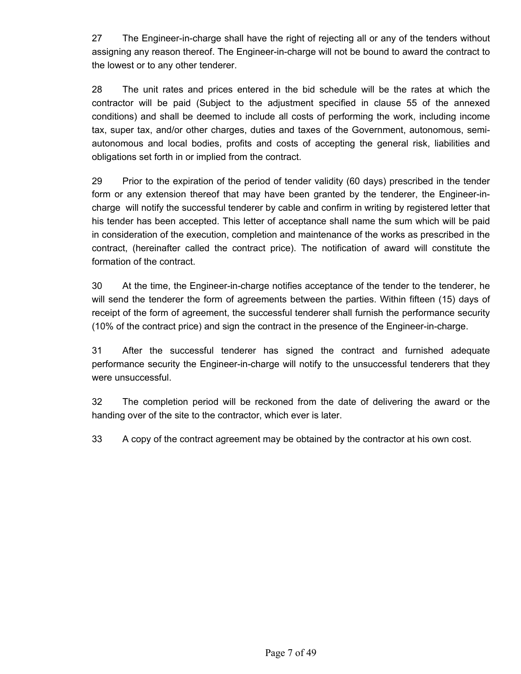27 The Engineer-in-charge shall have the right of rejecting all or any of the tenders without assigning any reason thereof. The Engineer-in-charge will not be bound to award the contract to the lowest or to any other tenderer.

28 The unit rates and prices entered in the bid schedule will be the rates at which the contractor will be paid (Subject to the adjustment specified in clause 55 of the annexed conditions) and shall be deemed to include all costs of performing the work, including income tax, super tax, and/or other charges, duties and taxes of the Government, autonomous, semiautonomous and local bodies, profits and costs of accepting the general risk, liabilities and obligations set forth in or implied from the contract.

29 Prior to the expiration of the period of tender validity (60 days) prescribed in the tender form or any extension thereof that may have been granted by the tenderer, the Engineer-incharge will notify the successful tenderer by cable and confirm in writing by registered letter that his tender has been accepted. This letter of acceptance shall name the sum which will be paid in consideration of the execution, completion and maintenance of the works as prescribed in the contract, (hereinafter called the contract price). The notification of award will constitute the formation of the contract.

30 At the time, the Engineer-in-charge notifies acceptance of the tender to the tenderer, he will send the tenderer the form of agreements between the parties. Within fifteen (15) days of receipt of the form of agreement, the successful tenderer shall furnish the performance security (10% of the contract price) and sign the contract in the presence of the Engineer-in-charge.

31 After the successful tenderer has signed the contract and furnished adequate performance security the Engineer-in-charge will notify to the unsuccessful tenderers that they were unsuccessful.

32 The completion period will be reckoned from the date of delivering the award or the handing over of the site to the contractor, which ever is later.

33 A copy of the contract agreement may be obtained by the contractor at his own cost.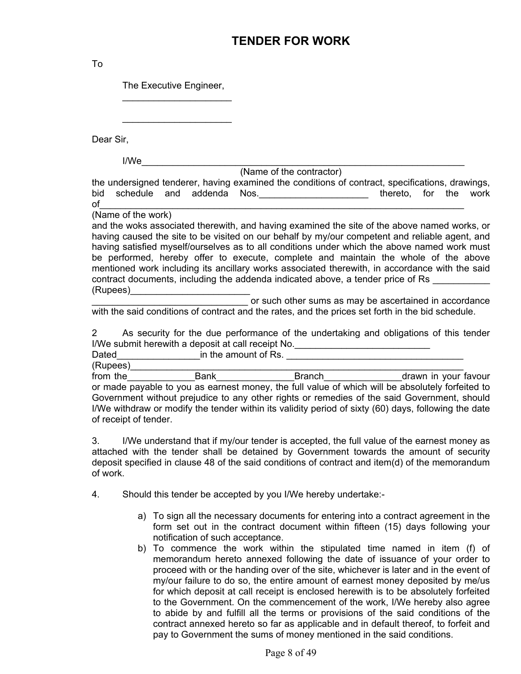## **TENDER FOR WORK**

To

The Executive Engineer,

 $\overline{\phantom{a}}$  ,  $\overline{\phantom{a}}$  ,  $\overline{\phantom{a}}$  ,  $\overline{\phantom{a}}$  ,  $\overline{\phantom{a}}$  ,  $\overline{\phantom{a}}$  ,  $\overline{\phantom{a}}$  ,  $\overline{\phantom{a}}$  ,  $\overline{\phantom{a}}$  ,  $\overline{\phantom{a}}$  ,  $\overline{\phantom{a}}$  ,  $\overline{\phantom{a}}$  ,  $\overline{\phantom{a}}$  ,  $\overline{\phantom{a}}$  ,  $\overline{\phantom{a}}$  ,  $\overline{\phantom{a}}$ 

 $\overline{\phantom{a}}$  ,  $\overline{\phantom{a}}$  ,  $\overline{\phantom{a}}$  ,  $\overline{\phantom{a}}$  ,  $\overline{\phantom{a}}$  ,  $\overline{\phantom{a}}$  ,  $\overline{\phantom{a}}$  ,  $\overline{\phantom{a}}$  ,  $\overline{\phantom{a}}$  ,  $\overline{\phantom{a}}$  ,  $\overline{\phantom{a}}$  ,  $\overline{\phantom{a}}$  ,  $\overline{\phantom{a}}$  ,  $\overline{\phantom{a}}$  ,  $\overline{\phantom{a}}$  ,  $\overline{\phantom{a}}$ 

Dear Sir,

I/We\_\_\_\_\_\_\_\_\_\_\_\_\_\_\_\_\_\_\_\_\_\_\_\_\_\_\_\_\_\_\_\_\_\_\_\_\_\_\_\_\_\_\_\_\_\_\_\_\_\_\_\_\_\_\_\_\_\_\_\_\_\_

(Name of the contractor)

the undersigned tenderer, having examined the conditions of contract, specifications, drawings, bid schedule and addenda Nos.<br>end thereto, for the work of\_\_\_\_\_\_\_\_\_\_\_\_\_\_\_\_\_\_\_\_\_\_\_\_\_\_\_\_\_\_\_\_\_\_\_\_\_\_\_\_\_\_\_\_\_\_\_\_\_\_\_\_\_\_\_\_\_\_\_\_\_\_\_\_\_\_\_\_\_\_

(Name of the work)

and the woks associated therewith, and having examined the site of the above named works, or having caused the site to be visited on our behalf by my/our competent and reliable agent, and having satisfied myself/ourselves as to all conditions under which the above named work must be performed, hereby offer to execute, complete and maintain the whole of the above mentioned work including its ancillary works associated therewith, in accordance with the said contract documents, including the addenda indicated above, a tender price of Rs (Rupees)\_\_\_\_\_\_\_\_\_\_\_\_\_\_\_\_\_\_\_\_\_\_\_

**EXECUTE:** Or such other sums as may be ascertained in accordance with the said conditions of contract and the rates, and the prices set forth in the bid schedule.

2 As security for the due performance of the undertaking and obligations of this tender I/We submit herewith a deposit at call receipt No.\_\_\_\_\_\_\_\_\_\_\_\_\_\_\_\_\_\_\_\_\_\_\_\_\_\_\_\_\_\_

Dated **Example 2** in the amount of Rs. **Example 2** is the amount of Rs.

(Rupees)\_\_\_\_\_\_\_\_\_\_\_\_\_\_\_\_\_\_\_\_\_\_\_\_\_\_\_\_\_\_\_\_\_\_\_\_\_\_\_\_\_\_\_\_\_\_\_\_\_\_\_\_\_\_\_\_\_\_\_\_\_\_\_\_ from the \_\_\_\_\_\_\_\_\_\_\_\_\_\_\_Bank\_\_\_\_\_\_\_\_\_\_\_\_\_\_\_\_\_\_Branch\_\_\_\_\_\_\_\_\_\_\_\_\_\_\_\_\_\_\_\_\_drawn in your favour or made payable to you as earnest money, the full value of which will be absolutely forfeited to Government without prejudice to any other rights or remedies of the said Government, should I/We withdraw or modify the tender within its validity period of sixty (60) days, following the date of receipt of tender.

3. I/We understand that if my/our tender is accepted, the full value of the earnest money as attached with the tender shall be detained by Government towards the amount of security deposit specified in clause 48 of the said conditions of contract and item(d) of the memorandum of work.

- 4. Should this tender be accepted by you I/We hereby undertake:
	- a) To sign all the necessary documents for entering into a contract agreement in the form set out in the contract document within fifteen (15) days following your notification of such acceptance.
	- b) To commence the work within the stipulated time named in item (f) of memorandum hereto annexed following the date of issuance of your order to proceed with or the handing over of the site, whichever is later and in the event of my/our failure to do so, the entire amount of earnest money deposited by me/us for which deposit at call receipt is enclosed herewith is to be absolutely forfeited to the Government. On the commencement of the work, I/We hereby also agree to abide by and fulfill all the terms or provisions of the said conditions of the contract annexed hereto so far as applicable and in default thereof, to forfeit and pay to Government the sums of money mentioned in the said conditions.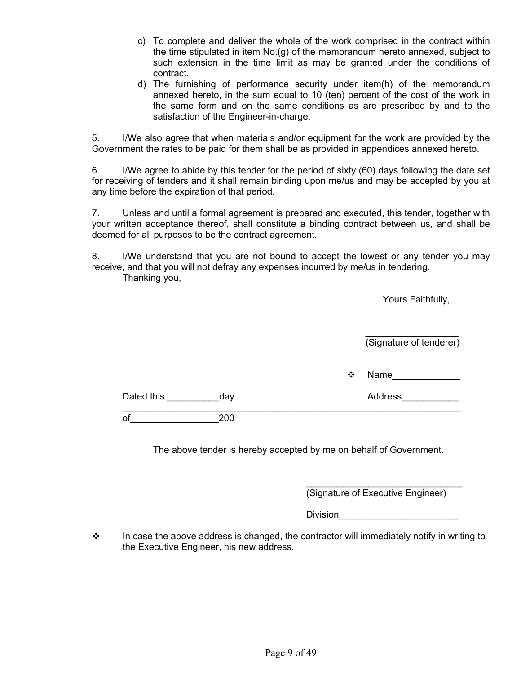- c) To complete and deliver the whole of the work comprised in the contract within the time stipulated in item No.(g) of the memorandum hereto annexed, subject to such extension in the time limit as may be granted under the conditions of contract.
- d) The furnishing of performance security under item(h) of the memorandum annexed hereto, in the sum equal to 10 (ten) percent of the cost of the work in the same form and on the same conditions as are prescribed by and to the satisfaction of the Engineer-in-charge.

5. I/We also agree that when materials and/or equipment for the work are provided by the Government the rates to be paid for them shall be as provided in appendices annexed hereto.

6. I/We agree to abide by this tender for the period of sixty (60) days following the date set for receiving of tenders and it shall remain binding upon me/us and may be accepted by you at any time before the expiration of that period.

7. Unless and until a formal agreement is prepared and executed, this tender, together with your written acceptance thereof, shall constitute a binding contract between us, and shall be deemed for all purposes to be the contract agreement.

8. I/We understand that you are not bound to accept the lowest or any tender you may receive, and that you will not defray any expenses incurred by me/us in tendering. Thanking you,

|            |                  |   | Yours Faithfully,       |
|------------|------------------|---|-------------------------|
|            |                  |   | (Signature of tenderer) |
|            |                  | ❖ | Name                    |
| Dated this | <sub>_</sub> day |   | Address                 |
| of         | 200              |   |                         |

The above tender is hereby accepted by me on behalf of Government.

 $\overline{\phantom{a}}$  , and the contract of the contract of the contract of the contract of the contract of the contract of the contract of the contract of the contract of the contract of the contract of the contract of the contrac (Signature of Executive Engineer)

 $\hbox{\textsf{Division}}$  . The contract of  $\hbox{\textsf{Division}}$ 

 $\cdot \cdot$  In case the above address is changed, the contractor will immediately notify in writing to the Executive Engineer, his new address.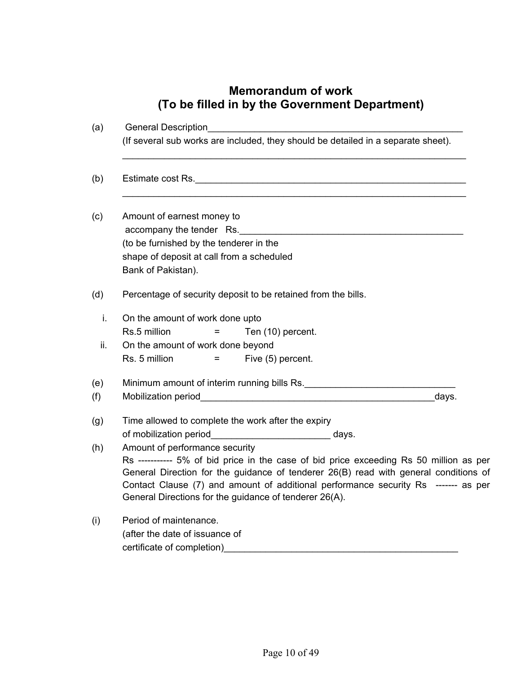# **Memorandum of work (To be filled in by the Government Department)**

| (a) | <b>General Description</b>                                                                                                                                                                                                                                                                                                                                       |
|-----|------------------------------------------------------------------------------------------------------------------------------------------------------------------------------------------------------------------------------------------------------------------------------------------------------------------------------------------------------------------|
|     | (If several sub works are included, they should be detailed in a separate sheet).                                                                                                                                                                                                                                                                                |
| (b) | Estimate cost Rs.                                                                                                                                                                                                                                                                                                                                                |
|     | Amount of earnest money to<br>accompany the tender Rs.                                                                                                                                                                                                                                                                                                           |
|     | (to be furnished by the tenderer in the                                                                                                                                                                                                                                                                                                                          |
|     | shape of deposit at call from a scheduled<br>Bank of Pakistan).                                                                                                                                                                                                                                                                                                  |
|     | Percentage of security deposit to be retained from the bills.                                                                                                                                                                                                                                                                                                    |
| i.  | On the amount of work done upto                                                                                                                                                                                                                                                                                                                                  |
|     | Rs.5 million<br>Ten (10) percent.<br>=                                                                                                                                                                                                                                                                                                                           |
| ii. | On the amount of work done beyond                                                                                                                                                                                                                                                                                                                                |
|     | Rs. 5 million<br>Five (5) percent.<br>$=$                                                                                                                                                                                                                                                                                                                        |
|     |                                                                                                                                                                                                                                                                                                                                                                  |
|     | days.                                                                                                                                                                                                                                                                                                                                                            |
|     | Time allowed to complete the work after the expiry                                                                                                                                                                                                                                                                                                               |
|     | of mobilization period________________________________ days.                                                                                                                                                                                                                                                                                                     |
|     | Amount of performance security<br>Rs ----------- 5% of bid price in the case of bid price exceeding Rs 50 million as per<br>General Direction for the guidance of tenderer 26(B) read with general conditions of<br>Contact Clause (7) and amount of additional performance security Rs ------- as per<br>General Directions for the guidance of tenderer 26(A). |
|     | Period of maintenance.                                                                                                                                                                                                                                                                                                                                           |
|     | (after the date of issuance of                                                                                                                                                                                                                                                                                                                                   |
|     | certificate of completion)                                                                                                                                                                                                                                                                                                                                       |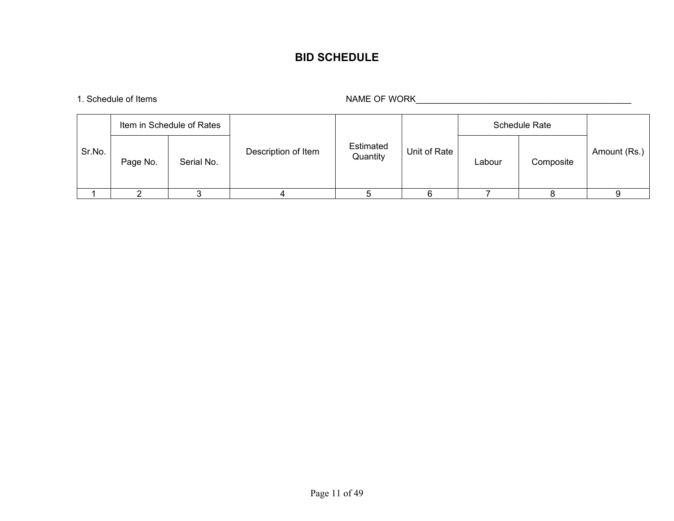## **BID SCHEDULE**

1. Schedule of Items NAME OF WORK\_\_\_\_\_\_\_\_\_\_\_\_\_\_\_\_\_\_\_\_\_\_\_\_\_\_\_\_\_\_\_\_\_\_\_\_\_\_\_\_\_\_\_\_

|        | Item in Schedule of Rates |            |                     |                       |              | <b>Schedule Rate</b> |           |              |
|--------|---------------------------|------------|---------------------|-----------------------|--------------|----------------------|-----------|--------------|
| Sr.No. | Page No.                  | Serial No. | Description of Item | Estimated<br>Quantity | Unit of Rate | Labour               | Composite | Amount (Rs.) |
|        |                           |            |                     |                       |              |                      |           |              |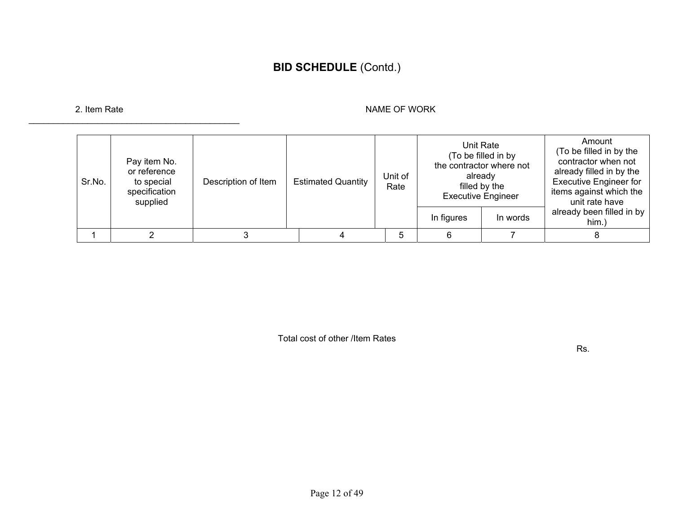# **BID SCHEDULE** (Contd.)

\_\_\_\_\_\_\_\_\_\_\_\_\_\_\_\_\_\_\_\_\_\_\_\_\_\_\_\_\_\_\_\_\_\_\_\_\_\_\_\_\_\_\_

#### 2. Item Rate NAME OF WORK 2. Item Rate NAME OF WORK

| Sr.No. | Pay item No.<br>or reference<br>to special<br>specification<br>supplied | Description of Item | <b>Estimated Quantity</b> | Unit of<br>Rate | Unit Rate<br>(To be filled in by<br>the contractor where not<br>already<br>filled by the<br><b>Executive Engineer</b> |          | Amount<br>(To be filled in by the<br>contractor when not<br>already filled in by the<br><b>Executive Engineer for</b><br>items against which the<br>unit rate have |
|--------|-------------------------------------------------------------------------|---------------------|---------------------------|-----------------|-----------------------------------------------------------------------------------------------------------------------|----------|--------------------------------------------------------------------------------------------------------------------------------------------------------------------|
|        |                                                                         |                     |                           |                 | In figures                                                                                                            | In words | already been filled in by  <br>him.)                                                                                                                               |
|        |                                                                         |                     |                           | 5               |                                                                                                                       |          |                                                                                                                                                                    |

Total cost of other /Item Rates

Rs.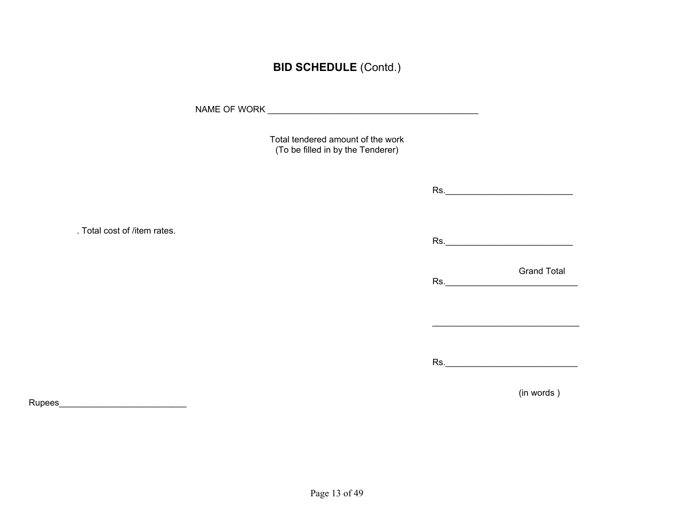## **BID SCHEDULE** (Contd.)

NAME OF WORK \_\_\_\_\_\_\_\_\_\_\_\_\_\_\_\_\_\_\_\_\_\_\_\_\_\_\_\_\_\_\_\_\_\_\_\_\_\_\_\_\_\_\_

Total tendered amount of the work (To be filled in by the Tenderer)

Rs.\_\_\_\_\_\_\_\_\_\_\_\_\_\_\_\_\_\_\_\_\_\_\_\_\_\_

. Total cost of /item rates.

Rs.\_\_\_\_\_\_\_\_\_\_\_\_\_\_\_\_\_\_\_\_\_\_\_\_\_\_

**Grand Total** Rs.\_\_\_\_\_\_\_\_\_\_\_\_\_\_\_\_\_\_\_\_\_\_\_\_\_\_\_

Rs.\_\_\_\_\_\_\_\_\_\_\_\_\_\_\_\_\_\_\_\_\_\_\_\_\_\_\_

\_\_\_\_\_\_\_\_\_\_\_\_\_\_\_\_\_\_\_\_\_\_\_\_\_\_\_\_\_\_

(in words )

Rupees\_\_\_\_\_\_\_\_\_\_\_\_\_\_\_\_\_\_\_\_\_\_\_\_\_\_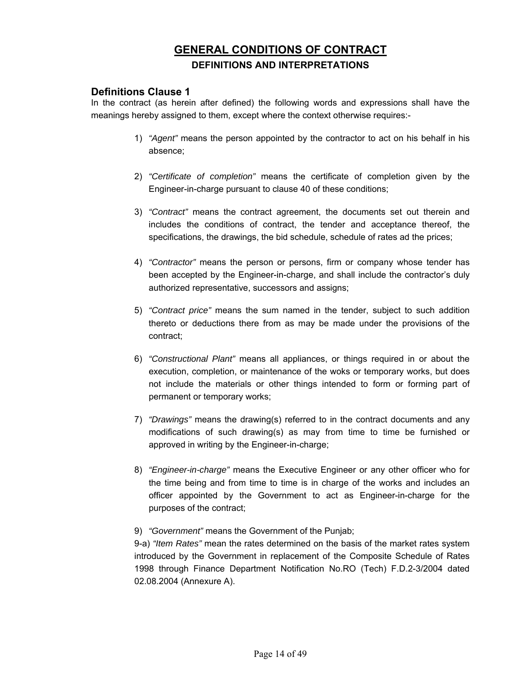## **GENERAL CONDITIONS OF CONTRACT DEFINITIONS AND INTERPRETATIONS**

## **Definitions Clause 1**

In the contract (as herein after defined) the following words and expressions shall have the meanings hereby assigned to them, except where the context otherwise requires:-

- 1) *"Agent"* means the person appointed by the contractor to act on his behalf in his absence;
- 2) *"Certificate of completion"* means the certificate of completion given by the Engineer-in-charge pursuant to clause 40 of these conditions;
- 3) *"Contract"* means the contract agreement, the documents set out therein and includes the conditions of contract, the tender and acceptance thereof, the specifications, the drawings, the bid schedule, schedule of rates ad the prices;
- 4) *"Contractor"* means the person or persons, firm or company whose tender has been accepted by the Engineer-in-charge, and shall include the contractor's duly authorized representative, successors and assigns;
- 5) *"Contract price"* means the sum named in the tender, subject to such addition thereto or deductions there from as may be made under the provisions of the contract;
- 6) *"Constructional Plant"* means all appliances, or things required in or about the execution, completion, or maintenance of the woks or temporary works, but does not include the materials or other things intended to form or forming part of permanent or temporary works;
- 7) *"Drawings"* means the drawing(s) referred to in the contract documents and any modifications of such drawing(s) as may from time to time be furnished or approved in writing by the Engineer-in-charge;
- 8) *"Engineer-in-charge"* means the Executive Engineer or any other officer who for the time being and from time to time is in charge of the works and includes an officer appointed by the Government to act as Engineer-in-charge for the purposes of the contract;

#### 9) *"Government"* means the Government of the Punjab;

9-a) *"Item Rates"* mean the rates determined on the basis of the market rates system introduced by the Government in replacement of the Composite Schedule of Rates 1998 through Finance Department Notification No.RO (Tech) F.D.2-3/2004 dated 02.08.2004 (Annexure A).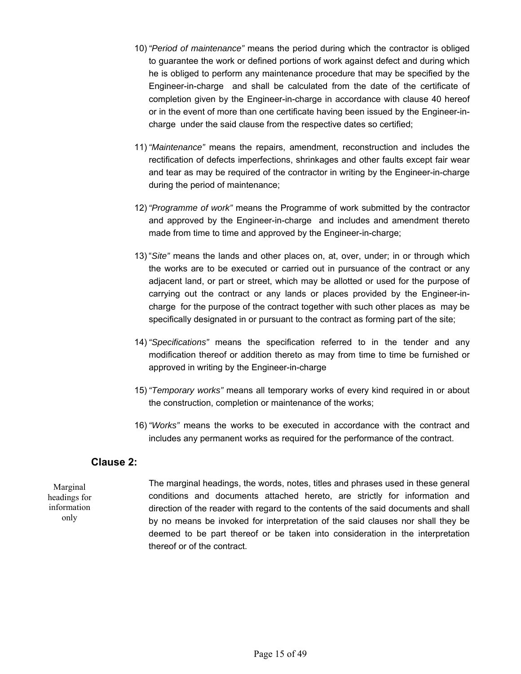- 10) *"Period of maintenance"* means the period during which the contractor is obliged to guarantee the work or defined portions of work against defect and during which he is obliged to perform any maintenance procedure that may be specified by the Engineer-in-charge and shall be calculated from the date of the certificate of completion given by the Engineer-in-charge in accordance with clause 40 hereof or in the event of more than one certificate having been issued by the Engineer-incharge under the said clause from the respective dates so certified;
- 11) *"Maintenance"* means the repairs, amendment, reconstruction and includes the rectification of defects imperfections, shrinkages and other faults except fair wear and tear as may be required of the contractor in writing by the Engineer-in-charge during the period of maintenance;
- 12) *"Programme of work"* means the Programme of work submitted by the contractor and approved by the Engineer-in-charge and includes and amendment thereto made from time to time and approved by the Engineer-in-charge;
- 13) "*Site"* means the lands and other places on, at, over, under; in or through which the works are to be executed or carried out in pursuance of the contract or any adjacent land, or part or street, which may be allotted or used for the purpose of carrying out the contract or any lands or places provided by the Engineer-incharge for the purpose of the contract together with such other places as may be specifically designated in or pursuant to the contract as forming part of the site;
- 14) *"Specifications"* means the specification referred to in the tender and any modification thereof or addition thereto as may from time to time be furnished or approved in writing by the Engineer-in-charge
- 15) *"Temporary works"* means all temporary works of every kind required in or about the construction, completion or maintenance of the works;
- 16) *"Works"* means the works to be executed in accordance with the contract and includes any permanent works as required for the performance of the contract.

## **Clause 2:**

Marginal headings for information only

 The marginal headings, the words, notes, titles and phrases used in these general conditions and documents attached hereto, are strictly for information and direction of the reader with regard to the contents of the said documents and shall by no means be invoked for interpretation of the said clauses nor shall they be deemed to be part thereof or be taken into consideration in the interpretation thereof or of the contract.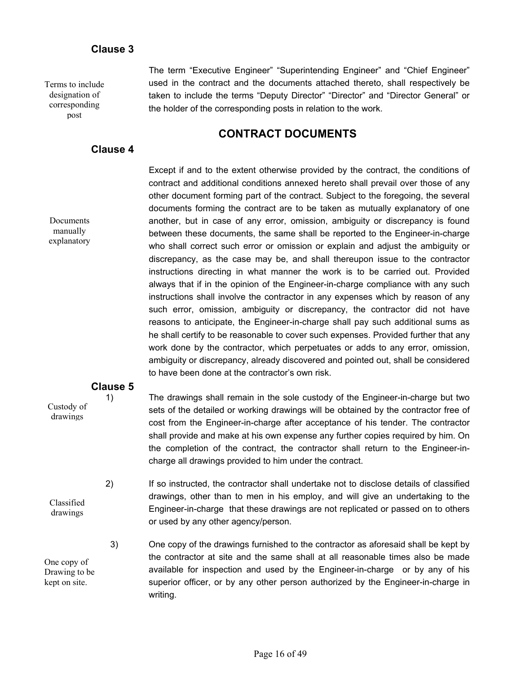## **Clause 3**

Terms to include designation of corresponding post

 The term "Executive Engineer" "Superintending Engineer" and "Chief Engineer" used in the contract and the documents attached thereto, shall respectively be taken to include the terms "Deputy Director" "Director" and "Director General" or the holder of the corresponding posts in relation to the work.

## **CONTRACT DOCUMENTS**

### **Clause 4**

Documents manually explanatory  Except if and to the extent otherwise provided by the contract, the conditions of contract and additional conditions annexed hereto shall prevail over those of any other document forming part of the contract. Subject to the foregoing, the several documents forming the contract are to be taken as mutually explanatory of one another, but in case of any error, omission, ambiguity or discrepancy is found between these documents, the same shall be reported to the Engineer-in-charge who shall correct such error or omission or explain and adjust the ambiguity or discrepancy, as the case may be, and shall thereupon issue to the contractor instructions directing in what manner the work is to be carried out. Provided always that if in the opinion of the Engineer-in-charge compliance with any such instructions shall involve the contractor in any expenses which by reason of any such error, omission, ambiguity or discrepancy, the contractor did not have reasons to anticipate, the Engineer-in-charge shall pay such additional sums as he shall certify to be reasonable to cover such expenses. Provided further that any work done by the contractor, which perpetuates or adds to any error, omission, ambiguity or discrepancy, already discovered and pointed out, shall be considered to have been done at the contractor's own risk.

## **Clause 5**

Custody of drawings

1) The drawings shall remain in the sole custody of the Engineer-in-charge but two sets of the detailed or working drawings will be obtained by the contractor free of cost from the Engineer-in-charge after acceptance of his tender. The contractor shall provide and make at his own expense any further copies required by him. On the completion of the contract, the contractor shall return to the Engineer-incharge all drawings provided to him under the contract.

Classified drawings

One copy of Drawing to be kept on site.

2) If so instructed, the contractor shall undertake not to disclose details of classified drawings, other than to men in his employ, and will give an undertaking to the Engineer-in-charge that these drawings are not replicated or passed on to others or used by any other agency/person.

3) One copy of the drawings furnished to the contractor as aforesaid shall be kept by the contractor at site and the same shall at all reasonable times also be made available for inspection and used by the Engineer-in-charge or by any of his superior officer, or by any other person authorized by the Engineer-in-charge in writing.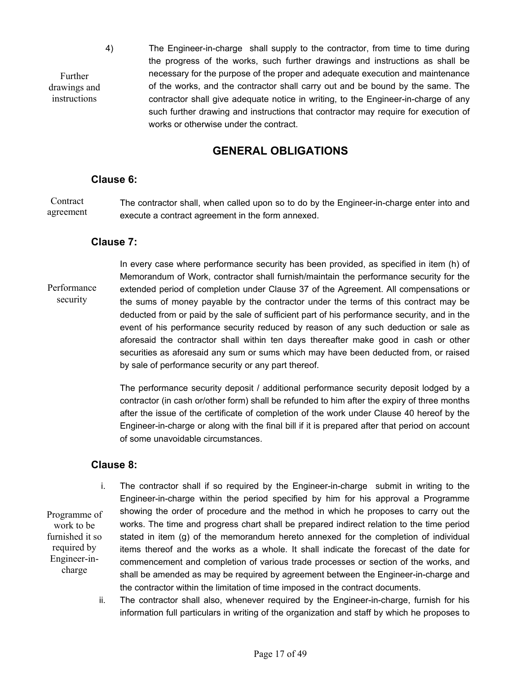4) The Engineer-in-charge shall supply to the contractor, from time to time during the progress of the works, such further drawings and instructions as shall be necessary for the purpose of the proper and adequate execution and maintenance of the works, and the contractor shall carry out and be bound by the same. The contractor shall give adequate notice in writing, to the Engineer-in-charge of any such further drawing and instructions that contractor may require for execution of works or otherwise under the contract.

## **GENERAL OBLIGATIONS**

#### **Clause 6:**

Further drawings and instructions

 The contractor shall, when called upon so to do by the Engineer-in-charge enter into and execute a contract agreement in the form annexed. **Contract** agreement

## **Clause 7:**

In every case where performance security has been provided, as specified in item (h) of Memorandum of Work, contractor shall furnish/maintain the performance security for the extended period of completion under Clause 37 of the Agreement. All compensations or the sums of money payable by the contractor under the terms of this contract may be deducted from or paid by the sale of sufficient part of his performance security, and in the event of his performance security reduced by reason of any such deduction or sale as aforesaid the contractor shall within ten days thereafter make good in cash or other securities as aforesaid any sum or sums which may have been deducted from, or raised by sale of performance security or any part thereof. Performance security

> The performance security deposit / additional performance security deposit lodged by a contractor (in cash or/other form) shall be refunded to him after the expiry of three months after the issue of the certificate of completion of the work under Clause 40 hereof by the Engineer-in-charge or along with the final bill if it is prepared after that period on account of some unavoidable circumstances.

### **Clause 8:**

Programme of work to be furnished it so required by Engineer-incharge

- i. The contractor shall if so required by the Engineer-in-charge submit in writing to the Engineer-in-charge within the period specified by him for his approval a Programme showing the order of procedure and the method in which he proposes to carry out the works. The time and progress chart shall be prepared indirect relation to the time period stated in item (g) of the memorandum hereto annexed for the completion of individual items thereof and the works as a whole. It shall indicate the forecast of the date for commencement and completion of various trade processes or section of the works, and shall be amended as may be required by agreement between the Engineer-in-charge and the contractor within the limitation of time imposed in the contract documents.
- ii. The contractor shall also, whenever required by the Engineer-in-charge, furnish for his information full particulars in writing of the organization and staff by which he proposes to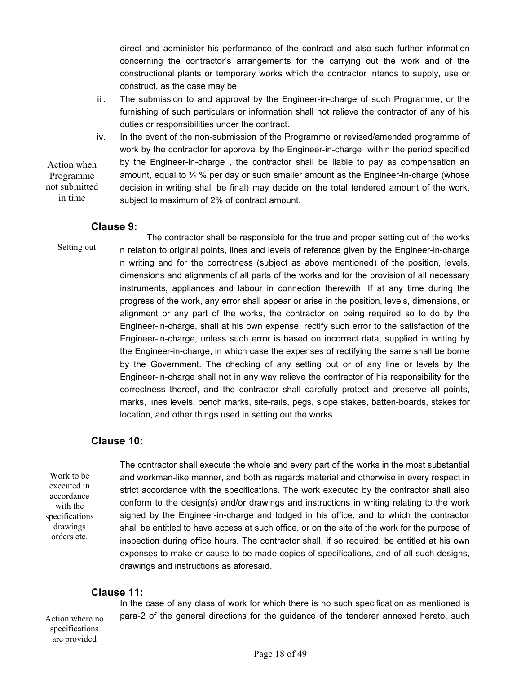direct and administer his performance of the contract and also such further information concerning the contractor's arrangements for the carrying out the work and of the constructional plants or temporary works which the contractor intends to supply, use or construct, as the case may be.

- iii. The submission to and approval by the Engineer-in-charge of such Programme, or the furnishing of such particulars or information shall not relieve the contractor of any of his duties or responsibilities under the contract.
- iv. In the event of the non-submission of the Programme or revised/amended programme of work by the contractor for approval by the Engineer-in-charge within the period specified by the Engineer-in-charge , the contractor shall be liable to pay as compensation an amount, equal to  $\frac{1}{4}$  % per day or such smaller amount as the Engineer-in-charge (whose decision in writing shall be final) may decide on the total tendered amount of the work, subject to maximum of 2% of contract amount. Action when Programme not submitted in time

#### **Clause 9:**

Setting out

 The contractor shall be responsible for the true and proper setting out of the works in relation to original points, lines and levels of reference given by the Engineer-in-charge in writing and for the correctness (subject as above mentioned) of the position, levels, dimensions and alignments of all parts of the works and for the provision of all necessary instruments, appliances and labour in connection therewith. If at any time during the progress of the work, any error shall appear or arise in the position, levels, dimensions, or alignment or any part of the works, the contractor on being required so to do by the Engineer-in-charge, shall at his own expense, rectify such error to the satisfaction of the Engineer-in-charge, unless such error is based on incorrect data, supplied in writing by the Engineer-in-charge, in which case the expenses of rectifying the same shall be borne by the Government. The checking of any setting out or of any line or levels by the Engineer-in-charge shall not in any way relieve the contractor of his responsibility for the correctness thereof, and the contractor shall carefully protect and preserve all points, marks, lines levels, bench marks, site-rails, pegs, slope stakes, batten-boards, stakes for location, and other things used in setting out the works.

## **Clause 10:**

Work to be executed in accordance with the specifications drawings orders etc.

 The contractor shall execute the whole and every part of the works in the most substantial and workman-like manner, and both as regards material and otherwise in every respect in strict accordance with the specifications. The work executed by the contractor shall also conform to the design(s) and/or drawings and instructions in writing relating to the work signed by the Engineer-in-charge and lodged in his office, and to which the contractor shall be entitled to have access at such office, or on the site of the work for the purpose of inspection during office hours. The contractor shall, if so required; be entitled at his own expenses to make or cause to be made copies of specifications, and of all such designs, drawings and instructions as aforesaid.

## **Clause 11:**

Action where no specifications are provided

 In the case of any class of work for which there is no such specification as mentioned is para-2 of the general directions for the guidance of the tenderer annexed hereto, such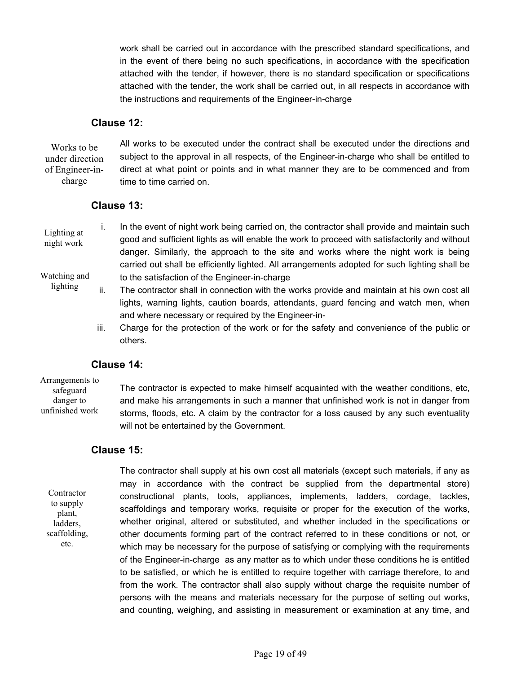work shall be carried out in accordance with the prescribed standard specifications, and in the event of there being no such specifications, in accordance with the specification attached with the tender, if however, there is no standard specification or specifications attached with the tender, the work shall be carried out, in all respects in accordance with the instructions and requirements of the Engineer-in-charge

#### **Clause 12:**

All works to be executed under the contract shall be executed under the directions and subject to the approval in all respects, of the Engineer-in-charge who shall be entitled to direct at what point or points and in what manner they are to be commenced and from time to time carried on. Works to be under direction of Engineer-incharge

#### **Clause 13:**

- i. In the event of night work being carried on, the contractor shall provide and maintain such good and sufficient lights as will enable the work to proceed with satisfactorily and without danger. Similarly, the approach to the site and works where the night work is being carried out shall be efficiently lighted. All arrangements adopted for such lighting shall be to the satisfaction of the Engineer-in-charge Lighting at night work Watching and lighting
	- ii. The contractor shall in connection with the works provide and maintain at his own cost all lights, warning lights, caution boards, attendants, guard fencing and watch men, when and where necessary or required by the Engineer-in
		- iii. Charge for the protection of the work or for the safety and convenience of the public or others.

## **Clause 14:**

Arrangements to safeguard danger to unfinished work

 The contractor is expected to make himself acquainted with the weather conditions, etc, and make his arrangements in such a manner that unfinished work is not in danger from storms, floods, etc. A claim by the contractor for a loss caused by any such eventuality will not be entertained by the Government.

## **Clause 15:**

**Contractor** to supply plant, ladders, scaffolding, etc.

 The contractor shall supply at his own cost all materials (except such materials, if any as may in accordance with the contract be supplied from the departmental store) constructional plants, tools, appliances, implements, ladders, cordage, tackles, scaffoldings and temporary works, requisite or proper for the execution of the works, whether original, altered or substituted, and whether included in the specifications or other documents forming part of the contract referred to in these conditions or not, or which may be necessary for the purpose of satisfying or complying with the requirements of the Engineer-in-charge as any matter as to which under these conditions he is entitled to be satisfied, or which he is entitled to require together with carriage therefore, to and from the work. The contractor shall also supply without charge the requisite number of persons with the means and materials necessary for the purpose of setting out works, and counting, weighing, and assisting in measurement or examination at any time, and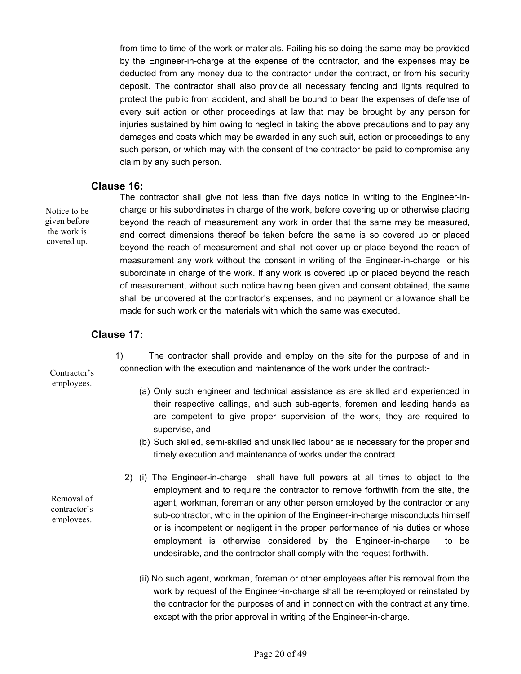from time to time of the work or materials. Failing his so doing the same may be provided by the Engineer-in-charge at the expense of the contractor, and the expenses may be deducted from any money due to the contractor under the contract, or from his security deposit. The contractor shall also provide all necessary fencing and lights required to protect the public from accident, and shall be bound to bear the expenses of defense of every suit action or other proceedings at law that may be brought by any person for injuries sustained by him owing to neglect in taking the above precautions and to pay any damages and costs which may be awarded in any such suit, action or proceedings to any such person, or which may with the consent of the contractor be paid to compromise any claim by any such person.

#### **Clause 16:**

Notice to be given before the work is covered up.

 The contractor shall give not less than five days notice in writing to the Engineer-incharge or his subordinates in charge of the work, before covering up or otherwise placing beyond the reach of measurement any work in order that the same may be measured, and correct dimensions thereof be taken before the same is so covered up or placed beyond the reach of measurement and shall not cover up or place beyond the reach of measurement any work without the consent in writing of the Engineer-in-charge or his subordinate in charge of the work. If any work is covered up or placed beyond the reach of measurement, without such notice having been given and consent obtained, the same shall be uncovered at the contractor's expenses, and no payment or allowance shall be made for such work or the materials with which the same was executed.

#### **Clause 17:**

 1) The contractor shall provide and employ on the site for the purpose of and in connection with the execution and maintenance of the work under the contract:-

Contractor's employees.

Removal of contractor's employees.

- (a) Only such engineer and technical assistance as are skilled and experienced in their respective callings, and such sub-agents, foremen and leading hands as are competent to give proper supervision of the work, they are required to supervise, and
- (b) Such skilled, semi-skilled and unskilled labour as is necessary for the proper and timely execution and maintenance of works under the contract.
- 2) (i) The Engineer-in-charge shall have full powers at all times to object to the employment and to require the contractor to remove forthwith from the site, the agent, workman, foreman or any other person employed by the contractor or any sub-contractor, who in the opinion of the Engineer-in-charge misconducts himself or is incompetent or negligent in the proper performance of his duties or whose employment is otherwise considered by the Engineer-in-charge to be undesirable, and the contractor shall comply with the request forthwith.
	- (ii) No such agent, workman, foreman or other employees after his removal from the work by request of the Engineer-in-charge shall be re-employed or reinstated by the contractor for the purposes of and in connection with the contract at any time, except with the prior approval in writing of the Engineer-in-charge.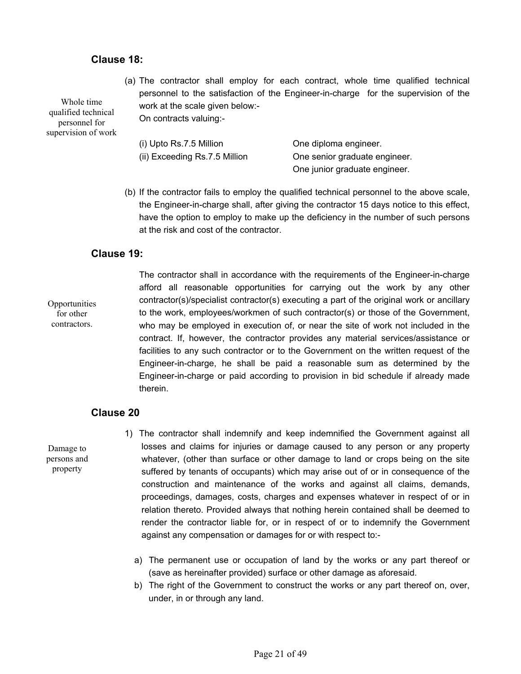## **Clause 18:**

Whole time qualified technical personnel for supervision of work (a) The contractor shall employ for each contract, whole time qualified technical personnel to the satisfaction of the Engineer-in-charge for the supervision of the work at the scale given below:- On contracts valuing:-

| (i) Upto $Rs.7.5$ Million     | One diploma engineer.         |
|-------------------------------|-------------------------------|
| (ii) Exceeding Rs.7.5 Million | One senior graduate engineer. |
|                               | One junior graduate engineer. |

(b) If the contractor fails to employ the qualified technical personnel to the above scale, the Engineer-in-charge shall, after giving the contractor 15 days notice to this effect, have the option to employ to make up the deficiency in the number of such persons at the risk and cost of the contractor.

## **Clause 19:**

**Opportunities** for other contractors.

 The contractor shall in accordance with the requirements of the Engineer-in-charge afford all reasonable opportunities for carrying out the work by any other contractor(s)/specialist contractor(s) executing a part of the original work or ancillary to the work, employees/workmen of such contractor(s) or those of the Government, who may be employed in execution of, or near the site of work not included in the contract. If, however, the contractor provides any material services/assistance or facilities to any such contractor or to the Government on the written request of the Engineer-in-charge, he shall be paid a reasonable sum as determined by the Engineer-in-charge or paid according to provision in bid schedule if already made therein.

## **Clause 20**

Damage to persons and property

- 1) The contractor shall indemnify and keep indemnified the Government against all losses and claims for injuries or damage caused to any person or any property whatever, (other than surface or other damage to land or crops being on the site suffered by tenants of occupants) which may arise out of or in consequence of the construction and maintenance of the works and against all claims, demands, proceedings, damages, costs, charges and expenses whatever in respect of or in relation thereto. Provided always that nothing herein contained shall be deemed to render the contractor liable for, or in respect of or to indemnify the Government against any compensation or damages for or with respect to:
	- a) The permanent use or occupation of land by the works or any part thereof or (save as hereinafter provided) surface or other damage as aforesaid.
	- b) The right of the Government to construct the works or any part thereof on, over, under, in or through any land.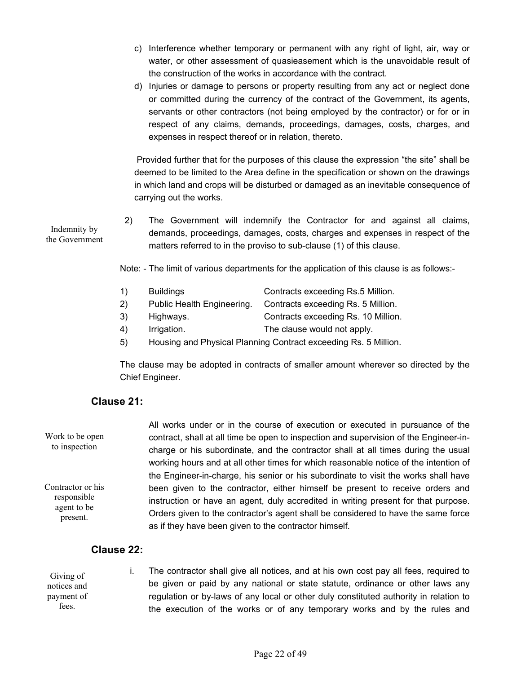- c) Interference whether temporary or permanent with any right of light, air, way or water, or other assessment of quasieasement which is the unavoidable result of the construction of the works in accordance with the contract.
- d) Injuries or damage to persons or property resulting from any act or neglect done or committed during the currency of the contract of the Government, its agents, servants or other contractors (not being employed by the contractor) or for or in respect of any claims, demands, proceedings, damages, costs, charges, and expenses in respect thereof or in relation, thereto.

 Provided further that for the purposes of this clause the expression "the site" shall be deemed to be limited to the Area define in the specification or shown on the drawings in which land and crops will be disturbed or damaged as an inevitable consequence of carrying out the works.

2) The Government will indemnify the Contractor for and against all claims, demands, proceedings, damages, costs, charges and expenses in respect of the matters referred to in the proviso to sub-clause (1) of this clause.

Note: - The limit of various departments for the application of this clause is as follows:-

- 1) Buildings Contracts exceeding Rs.5 Million.
- 2) Public Health Engineering. Contracts exceeding Rs. 5 Million.
- 3) Highways. Contracts exceeding Rs. 10 Million.
- 4) Irrigation. The clause would not apply.
- 5) Housing and Physical Planning Contract exceeding Rs. 5 Million.

 The clause may be adopted in contracts of smaller amount wherever so directed by the Chief Engineer.

## **Clause 21:**

 All works under or in the course of execution or executed in pursuance of the contract, shall at all time be open to inspection and supervision of the Engineer-incharge or his subordinate, and the contractor shall at all times during the usual working hours and at all other times for which reasonable notice of the intention of the Engineer-in-charge, his senior or his subordinate to visit the works shall have been given to the contractor, either himself be present to receive orders and instruction or have an agent, duly accredited in writing present for that purpose. Orders given to the contractor's agent shall be considered to have the same force as if they have been given to the contractor himself. Work to be open to inspection Contractor or his responsible agent to be present.

## **Clause 22:**

| Giving of   | The contractor shall give all notices, and at his own cost pay all fees, required to  |
|-------------|---------------------------------------------------------------------------------------|
| notices and | be given or paid by any national or state statute, ordinance or other laws any        |
| payment of  | regulation or by-laws of any local or other duly constituted authority in relation to |
| fees.       | the execution of the works or of any temporary works and by the rules and             |

Indemnity by the Government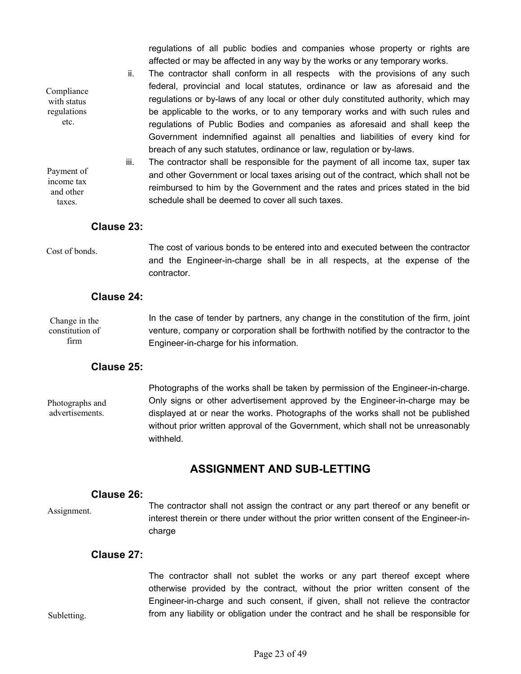regulations of all public bodies and companies whose property or rights are affected or may be affected in any way by the works or any temporary works.

- ii. The contractor shall conform in all respects with the provisions of any such federal, provincial and local statutes, ordinance or law as aforesaid and the regulations or by-laws of any local or other duly constituted authority, which may be applicable to the works, or to any temporary works and with such rules and regulations of Public Bodies and companies as aforesaid and shall keep the Government indemnified against all penalties and liabilities of every kind for breach of any such statutes, ordinance or law, regulation or by-laws.
- iii. The contractor shall be responsible for the payment of all income tax, super tax and other Government or local taxes arising out of the contract, which shall not be reimbursed to him by the Government and the rates and prices stated in the bid schedule shall be deemed to cover all such taxes.

## **Clause 23:**

Cost of bonds.

Compliance with status regulations etc.

Payment of income tax and other taxes.

> The cost of various bonds to be entered into and executed between the contractor and the Engineer-in-charge shall be in all respects, at the expense of the contractor.

## **Clause 24:**

 In the case of tender by partners, any change in the constitution of the firm, joint venture, company or corporation shall be forthwith notified by the contractor to the Engineer-in-charge for his information. Change in the constitution of firm

## **Clause 25:**

 Photographs of the works shall be taken by permission of the Engineer-in-charge. Only signs or other advertisement approved by the Engineer-in-charge may be displayed at or near the works. Photographs of the works shall not be published without prior written approval of the Government, which shall not be unreasonably withheld. Photographs and advertisements.

## **ASSIGNMENT AND SUB-LETTING**

#### **Clause 26:**

Assignment.

Subletting.

 The contractor shall not assign the contract or any part thereof or any benefit or interest therein or there under without the prior written consent of the Engineer-incharge

#### **Clause 27:**

 The contractor shall not sublet the works or any part thereof except where otherwise provided by the contract, without the prior written consent of the Engineer-in-charge and such consent, if given, shall not relieve the contractor from any liability or obligation under the contract and he shall be responsible for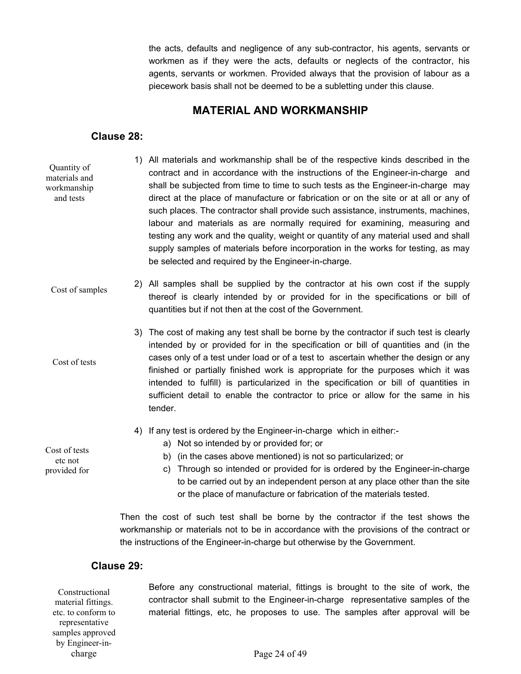the acts, defaults and negligence of any sub-contractor, his agents, servants or workmen as if they were the acts, defaults or neglects of the contractor, his agents, servants or workmen. Provided always that the provision of labour as a piecework basis shall not be deemed to be a subletting under this clause.

## **MATERIAL AND WORKMANSHIP**

## **Clause 28:**

- 1) All materials and workmanship shall be of the respective kinds described in the contract and in accordance with the instructions of the Engineer-in-charge and shall be subjected from time to time to such tests as the Engineer-in-charge may direct at the place of manufacture or fabrication or on the site or at all or any of such places. The contractor shall provide such assistance, instruments, machines, labour and materials as are normally required for examining, measuring and testing any work and the quality, weight or quantity of any material used and shall supply samples of materials before incorporation in the works for testing, as may be selected and required by the Engineer-in-charge. Quantity of materials and workmanship and tests
- 2) All samples shall be supplied by the contractor at his own cost if the supply thereof is clearly intended by or provided for in the specifications or bill of quantities but if not then at the cost of the Government. Cost of samples
	- 3) The cost of making any test shall be borne by the contractor if such test is clearly intended by or provided for in the specification or bill of quantities and (in the cases only of a test under load or of a test to ascertain whether the design or any finished or partially finished work is appropriate for the purposes which it was intended to fulfill) is particularized in the specification or bill of quantities in sufficient detail to enable the contractor to price or allow for the same in his tender.
		- 4) If any test is ordered by the Engineer-in-charge which in either:
			- a) Not so intended by or provided for; or
			- b) (in the cases above mentioned) is not so particularized; or
			- c) Through so intended or provided for is ordered by the Engineer-in-charge to be carried out by an independent person at any place other than the site or the place of manufacture or fabrication of the materials tested.

Then the cost of such test shall be borne by the contractor if the test shows the workmanship or materials not to be in accordance with the provisions of the contract or the instructions of the Engineer-in-charge but otherwise by the Government.

## **Clause 29:**

Constructional material fittings. etc. to conform to representative samples approved by Engineer-incharge

 Before any constructional material, fittings is brought to the site of work, the contractor shall submit to the Engineer-in-charge representative samples of the material fittings, etc, he proposes to use. The samples after approval will be

Page 24 of 49

Cost of tests etc not provided for

Cost of tests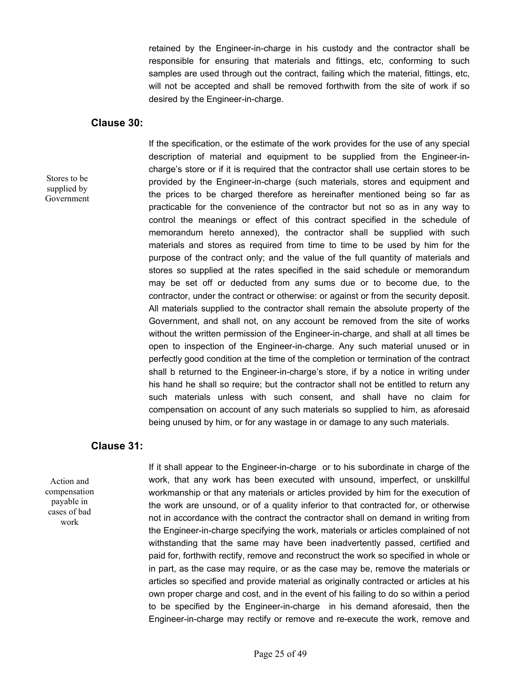retained by the Engineer-in-charge in his custody and the contractor shall be responsible for ensuring that materials and fittings, etc, conforming to such samples are used through out the contract, failing which the material, fittings, etc, will not be accepted and shall be removed forthwith from the site of work if so desired by the Engineer-in-charge.

#### **Clause 30:**

Stores to be supplied by Government  If the specification, or the estimate of the work provides for the use of any special description of material and equipment to be supplied from the Engineer-incharge's store or if it is required that the contractor shall use certain stores to be provided by the Engineer-in-charge (such materials, stores and equipment and the prices to be charged therefore as hereinafter mentioned being so far as practicable for the convenience of the contractor but not so as in any way to control the meanings or effect of this contract specified in the schedule of memorandum hereto annexed), the contractor shall be supplied with such materials and stores as required from time to time to be used by him for the purpose of the contract only; and the value of the full quantity of materials and stores so supplied at the rates specified in the said schedule or memorandum may be set off or deducted from any sums due or to become due, to the contractor, under the contract or otherwise: or against or from the security deposit. All materials supplied to the contractor shall remain the absolute property of the Government, and shall not, on any account be removed from the site of works without the written permission of the Engineer-in-charge, and shall at all times be open to inspection of the Engineer-in-charge. Any such material unused or in perfectly good condition at the time of the completion or termination of the contract shall b returned to the Engineer-in-charge's store, if by a notice in writing under his hand he shall so require; but the contractor shall not be entitled to return any such materials unless with such consent, and shall have no claim for compensation on account of any such materials so supplied to him, as aforesaid being unused by him, or for any wastage in or damage to any such materials.

#### **Clause 31:**

Action and compensation payable in cases of bad work

 If it shall appear to the Engineer-in-charge or to his subordinate in charge of the work, that any work has been executed with unsound, imperfect, or unskillful workmanship or that any materials or articles provided by him for the execution of the work are unsound, or of a quality inferior to that contracted for, or otherwise not in accordance with the contract the contractor shall on demand in writing from the Engineer-in-charge specifying the work, materials or articles complained of not withstanding that the same may have been inadvertently passed, certified and paid for, forthwith rectify, remove and reconstruct the work so specified in whole or in part, as the case may require, or as the case may be, remove the materials or articles so specified and provide material as originally contracted or articles at his own proper charge and cost, and in the event of his failing to do so within a period to be specified by the Engineer-in-charge in his demand aforesaid, then the Engineer-in-charge may rectify or remove and re-execute the work, remove and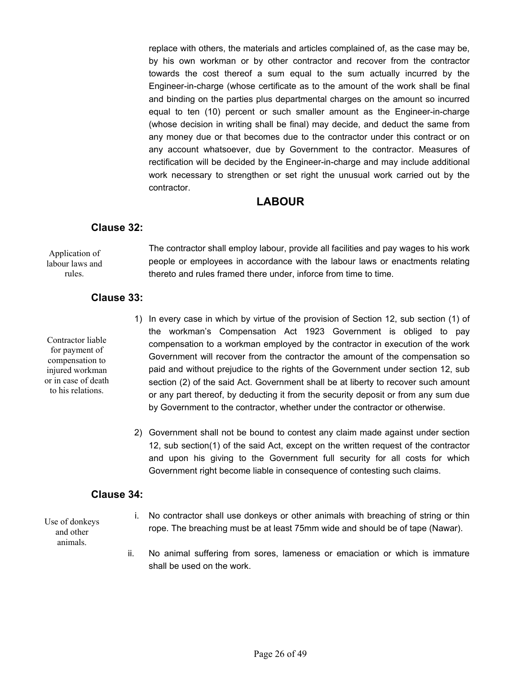replace with others, the materials and articles complained of, as the case may be, by his own workman or by other contractor and recover from the contractor towards the cost thereof a sum equal to the sum actually incurred by the Engineer-in-charge (whose certificate as to the amount of the work shall be final and binding on the parties plus departmental charges on the amount so incurred equal to ten (10) percent or such smaller amount as the Engineer-in-charge (whose decision in writing shall be final) may decide, and deduct the same from any money due or that becomes due to the contractor under this contract or on any account whatsoever, due by Government to the contractor. Measures of rectification will be decided by the Engineer-in-charge and may include additional work necessary to strengthen or set right the unusual work carried out by the contractor.

## **LABOUR**

## **Clause 32:**

 The contractor shall employ labour, provide all facilities and pay wages to his work people or employees in accordance with the labour laws or enactments relating thereto and rules framed there under, inforce from time to time. Application of labour laws and rules.

## **Clause 33:**

Contractor liable for payment of compensation to injured workman or in case of death to his relations.

- 1) In every case in which by virtue of the provision of Section 12, sub section (1) of the workman's Compensation Act 1923 Government is obliged to pay compensation to a workman employed by the contractor in execution of the work Government will recover from the contractor the amount of the compensation so paid and without prejudice to the rights of the Government under section 12, sub section (2) of the said Act. Government shall be at liberty to recover such amount or any part thereof, by deducting it from the security deposit or from any sum due by Government to the contractor, whether under the contractor or otherwise.
- 2) Government shall not be bound to contest any claim made against under section 12, sub section(1) of the said Act, except on the written request of the contractor and upon his giving to the Government full security for all costs for which Government right become liable in consequence of contesting such claims.

## **Clause 34:**

Use of donkeys and other animals.

- i. No contractor shall use donkeys or other animals with breaching of string or thin rope. The breaching must be at least 75mm wide and should be of tape (Nawar).
- ii. No animal suffering from sores, lameness or emaciation or which is immature shall be used on the work.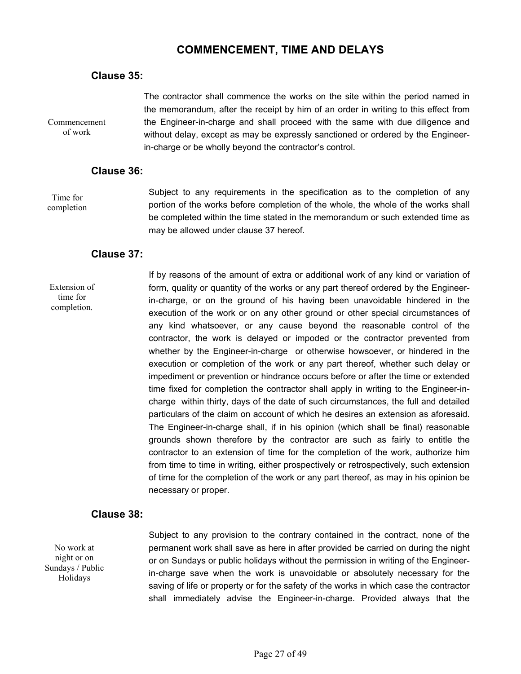## **COMMENCEMENT, TIME AND DELAYS**

## **Clause 35:**

Commencement of work

 The contractor shall commence the works on the site within the period named in the memorandum, after the receipt by him of an order in writing to this effect from the Engineer-in-charge and shall proceed with the same with due diligence and without delay, except as may be expressly sanctioned or ordered by the Engineerin-charge or be wholly beyond the contractor's control.

## **Clause 36:**

Time for completion Subject to any requirements in the specification as to the completion of any portion of the works before completion of the whole, the whole of the works shall be completed within the time stated in the memorandum or such extended time as may be allowed under clause 37 hereof.

## **Clause 37:**

Extension of time for completion.

 If by reasons of the amount of extra or additional work of any kind or variation of form, quality or quantity of the works or any part thereof ordered by the Engineerin-charge, or on the ground of his having been unavoidable hindered in the execution of the work or on any other ground or other special circumstances of any kind whatsoever, or any cause beyond the reasonable control of the contractor, the work is delayed or impoded or the contractor prevented from whether by the Engineer-in-charge or otherwise howsoever, or hindered in the execution or completion of the work or any part thereof, whether such delay or impediment or prevention or hindrance occurs before or after the time or extended time fixed for completion the contractor shall apply in writing to the Engineer-incharge within thirty, days of the date of such circumstances, the full and detailed particulars of the claim on account of which he desires an extension as aforesaid. The Engineer-in-charge shall, if in his opinion (which shall be final) reasonable grounds shown therefore by the contractor are such as fairly to entitle the contractor to an extension of time for the completion of the work, authorize him from time to time in writing, either prospectively or retrospectively, such extension of time for the completion of the work or any part thereof, as may in his opinion be necessary or proper.

## **Clause 38:**

No work at night or on Sundays / Public Holidays

 Subject to any provision to the contrary contained in the contract, none of the permanent work shall save as here in after provided be carried on during the night or on Sundays or public holidays without the permission in writing of the Engineerin-charge save when the work is unavoidable or absolutely necessary for the saving of life or property or for the safety of the works in which case the contractor shall immediately advise the Engineer-in-charge. Provided always that the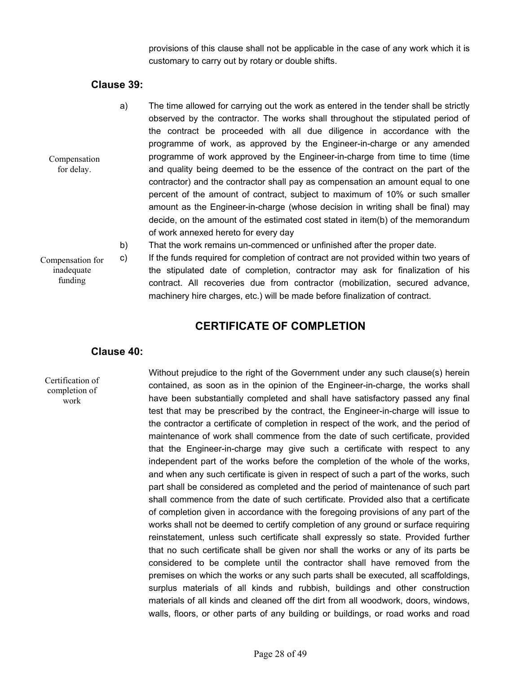provisions of this clause shall not be applicable in the case of any work which it is customary to carry out by rotary or double shifts.

## **Clause 39:**

- a) The time allowed for carrying out the work as entered in the tender shall be strictly observed by the contractor. The works shall throughout the stipulated period of the contract be proceeded with all due diligence in accordance with the programme of work, as approved by the Engineer-in-charge or any amended programme of work approved by the Engineer-in-charge from time to time (time and quality being deemed to be the essence of the contract on the part of the contractor) and the contractor shall pay as compensation an amount equal to one percent of the amount of contract, subject to maximum of 10% or such smaller amount as the Engineer-in-charge (whose decision in writing shall be final) may decide, on the amount of the estimated cost stated in item(b) of the memorandum of work annexed hereto for every day
	- b) That the work remains un-commenced or unfinished after the proper date.

Compensation for inadequate funding

Compensation for delay.

> c) If the funds required for completion of contract are not provided within two years of the stipulated date of completion, contractor may ask for finalization of his contract. All recoveries due from contractor (mobilization, secured advance, machinery hire charges, etc.) will be made before finalization of contract.

## **CERTIFICATE OF COMPLETION**

#### **Clause 40:**

Certification of completion of work

 Without prejudice to the right of the Government under any such clause(s) herein contained, as soon as in the opinion of the Engineer-in-charge, the works shall have been substantially completed and shall have satisfactory passed any final test that may be prescribed by the contract, the Engineer-in-charge will issue to the contractor a certificate of completion in respect of the work, and the period of maintenance of work shall commence from the date of such certificate, provided that the Engineer-in-charge may give such a certificate with respect to any independent part of the works before the completion of the whole of the works, and when any such certificate is given in respect of such a part of the works, such part shall be considered as completed and the period of maintenance of such part shall commence from the date of such certificate. Provided also that a certificate of completion given in accordance with the foregoing provisions of any part of the works shall not be deemed to certify completion of any ground or surface requiring reinstatement, unless such certificate shall expressly so state. Provided further that no such certificate shall be given nor shall the works or any of its parts be considered to be complete until the contractor shall have removed from the premises on which the works or any such parts shall be executed, all scaffoldings, surplus materials of all kinds and rubbish, buildings and other construction materials of all kinds and cleaned off the dirt from all woodwork, doors, windows, walls, floors, or other parts of any building or buildings, or road works and road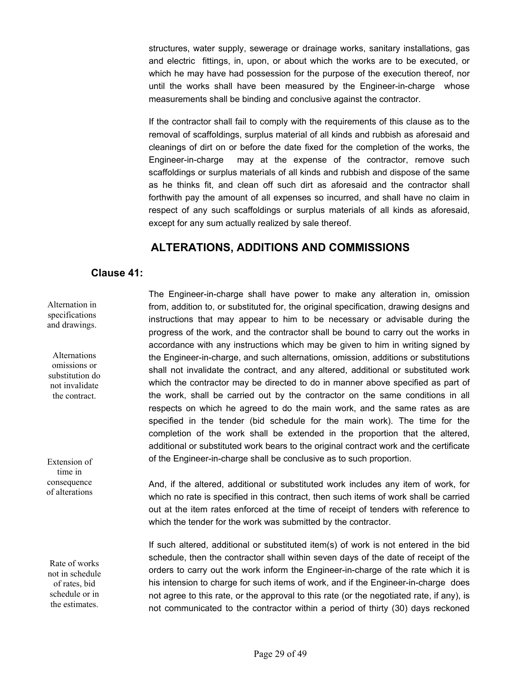structures, water supply, sewerage or drainage works, sanitary installations, gas and electric fittings, in, upon, or about which the works are to be executed, or which he may have had possession for the purpose of the execution thereof, nor until the works shall have been measured by the Engineer-in-charge whose measurements shall be binding and conclusive against the contractor.

If the contractor shall fail to comply with the requirements of this clause as to the removal of scaffoldings, surplus material of all kinds and rubbish as aforesaid and cleanings of dirt on or before the date fixed for the completion of the works, the Engineer-in-charge may at the expense of the contractor, remove such scaffoldings or surplus materials of all kinds and rubbish and dispose of the same as he thinks fit, and clean off such dirt as aforesaid and the contractor shall forthwith pay the amount of all expenses so incurred, and shall have no claim in respect of any such scaffoldings or surplus materials of all kinds as aforesaid, except for any sum actually realized by sale thereof.

## **ALTERATIONS, ADDITIONS AND COMMISSIONS**

## **Clause 41:**

Alternation in specifications and drawings.

Alternations omissions or substitution do not invalidate the contract.

Extension of time in consequence of alterations

Rate of works not in schedule of rates, bid schedule or in the estimates.

The Engineer-in-charge shall have power to make any alteration in, omission from, addition to, or substituted for, the original specification, drawing designs and instructions that may appear to him to be necessary or advisable during the progress of the work, and the contractor shall be bound to carry out the works in accordance with any instructions which may be given to him in writing signed by the Engineer-in-charge, and such alternations, omission, additions or substitutions shall not invalidate the contract, and any altered, additional or substituted work which the contractor may be directed to do in manner above specified as part of the work, shall be carried out by the contractor on the same conditions in all respects on which he agreed to do the main work, and the same rates as are specified in the tender (bid schedule for the main work). The time for the completion of the work shall be extended in the proportion that the altered, additional or substituted work bears to the original contract work and the certificate of the Engineer-in-charge shall be conclusive as to such proportion.

And, if the altered, additional or substituted work includes any item of work, for which no rate is specified in this contract, then such items of work shall be carried out at the item rates enforced at the time of receipt of tenders with reference to which the tender for the work was submitted by the contractor.

 If such altered, additional or substituted item(s) of work is not entered in the bid schedule, then the contractor shall within seven days of the date of receipt of the orders to carry out the work inform the Engineer-in-charge of the rate which it is his intension to charge for such items of work, and if the Engineer-in-charge does not agree to this rate, or the approval to this rate (or the negotiated rate, if any), is not communicated to the contractor within a period of thirty (30) days reckoned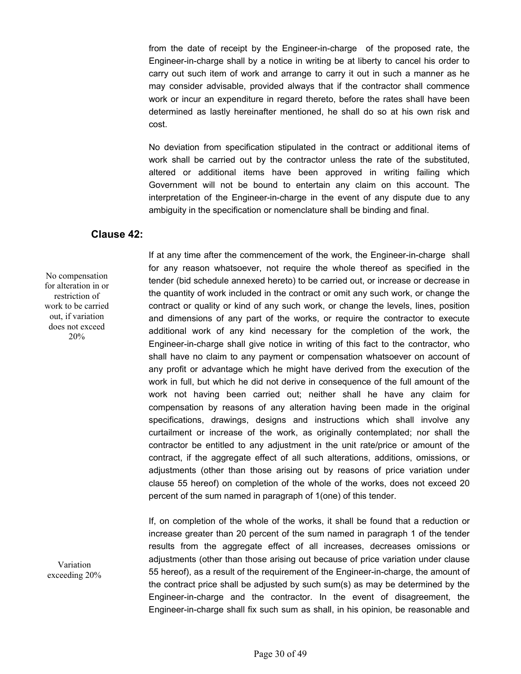from the date of receipt by the Engineer-in-charge of the proposed rate, the Engineer-in-charge shall by a notice in writing be at liberty to cancel his order to carry out such item of work and arrange to carry it out in such a manner as he may consider advisable, provided always that if the contractor shall commence work or incur an expenditure in regard thereto, before the rates shall have been determined as lastly hereinafter mentioned, he shall do so at his own risk and cost.

 No deviation from specification stipulated in the contract or additional items of work shall be carried out by the contractor unless the rate of the substituted, altered or additional items have been approved in writing failing which Government will not be bound to entertain any claim on this account. The interpretation of the Engineer-in-charge in the event of any dispute due to any ambiguity in the specification or nomenclature shall be binding and final.

## **Clause 42:**

No compensation for alteration in or restriction of work to be carried out, if variation does not exceed 20%

If at any time after the commencement of the work, the Engineer-in-charge shall for any reason whatsoever, not require the whole thereof as specified in the tender (bid schedule annexed hereto) to be carried out, or increase or decrease in the quantity of work included in the contract or omit any such work, or change the contract or quality or kind of any such work, or change the levels, lines, position and dimensions of any part of the works, or require the contractor to execute additional work of any kind necessary for the completion of the work, the Engineer-in-charge shall give notice in writing of this fact to the contractor, who shall have no claim to any payment or compensation whatsoever on account of any profit or advantage which he might have derived from the execution of the work in full, but which he did not derive in consequence of the full amount of the work not having been carried out; neither shall he have any claim for compensation by reasons of any alteration having been made in the original specifications, drawings, designs and instructions which shall involve any curtailment or increase of the work, as originally contemplated; nor shall the contractor be entitled to any adjustment in the unit rate/price or amount of the contract, if the aggregate effect of all such alterations, additions, omissions, or adjustments (other than those arising out by reasons of price variation under clause 55 hereof) on completion of the whole of the works, does not exceed 20 percent of the sum named in paragraph of 1(one) of this tender.

If, on completion of the whole of the works, it shall be found that a reduction or increase greater than 20 percent of the sum named in paragraph 1 of the tender results from the aggregate effect of all increases, decreases omissions or adjustments (other than those arising out because of price variation under clause 55 hereof), as a result of the requirement of the Engineer-in-charge, the amount of the contract price shall be adjusted by such sum(s) as may be determined by the Engineer-in-charge and the contractor. In the event of disagreement, the Engineer-in-charge shall fix such sum as shall, in his opinion, be reasonable and

Variation exceeding 20%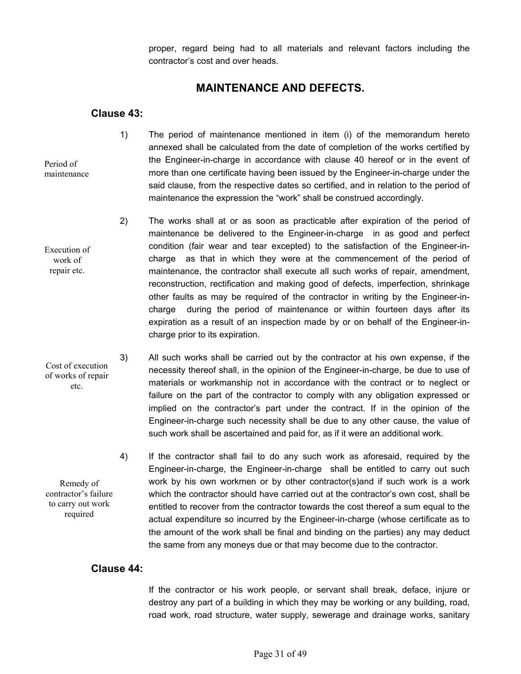proper, regard being had to all materials and relevant factors including the contractor's cost and over heads.

## **MAINTENANCE AND DEFECTS.**

## **Clause 43:**

- 1) The period of maintenance mentioned in item (i) of the memorandum hereto annexed shall be calculated from the date of completion of the works certified by the Engineer-in-charge in accordance with clause 40 hereof or in the event of more than one certificate having been issued by the Engineer-in-charge under the said clause, from the respective dates so certified, and in relation to the period of maintenance the expression the "work" shall be construed accordingly.
- 2) The works shall at or as soon as practicable after expiration of the period of maintenance be delivered to the Engineer-in-charge in as good and perfect condition (fair wear and tear excepted) to the satisfaction of the Engineer-incharge as that in which they were at the commencement of the period of maintenance, the contractor shall execute all such works of repair, amendment, reconstruction, rectification and making good of defects, imperfection, shrinkage other faults as may be required of the contractor in writing by the Engineer-incharge during the period of maintenance or within fourteen days after its expiration as a result of an inspection made by or on behalf of the Engineer-incharge prior to its expiration.
- 3) All such works shall be carried out by the contractor at his own expense, if the necessity thereof shall, in the opinion of the Engineer-in-charge, be due to use of materials or workmanship not in accordance with the contract or to neglect or failure on the part of the contractor to comply with any obligation expressed or implied on the contractor's part under the contract. If in the opinion of the Engineer-in-charge such necessity shall be due to any other cause, the value of such work shall be ascertained and paid for, as if it were an additional work.
	- 4) If the contractor shall fail to do any such work as aforesaid, required by the Engineer-in-charge, the Engineer-in-charge shall be entitled to carry out such work by his own workmen or by other contractor(s)and if such work is a work which the contractor should have carried out at the contractor's own cost, shall be entitled to recover from the contractor towards the cost thereof a sum equal to the actual expenditure so incurred by the Engineer-in-charge (whose certificate as to the amount of the work shall be final and binding on the parties) any may deduct the same from any moneys due or that may become due to the contractor.

## **Clause 44:**

 If the contractor or his work people, or servant shall break, deface, injure or destroy any part of a building in which they may be working or any building, road, road work, road structure, water supply, sewerage and drainage works, sanitary

Execution of work of repair etc.

Period of maintenance

Cost of execution of works of repair etc.

Remedy of contractor's failure to carry out work required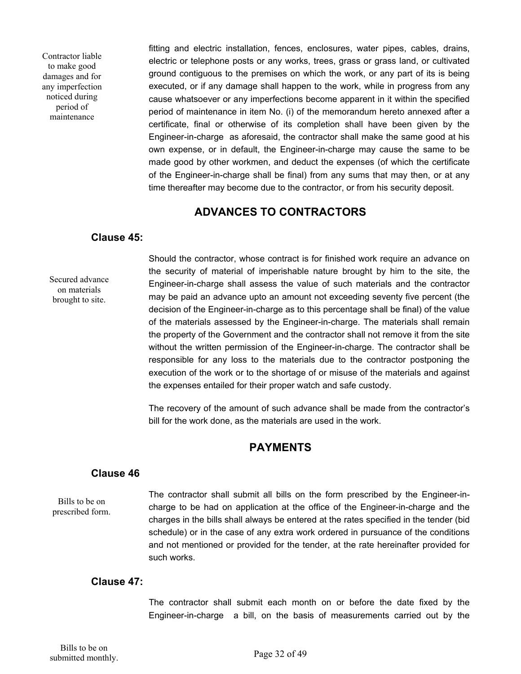Contractor liable to make good damages and for any imperfection noticed during period of maintenance

fitting and electric installation, fences, enclosures, water pipes, cables, drains, electric or telephone posts or any works, trees, grass or grass land, or cultivated ground contiguous to the premises on which the work, or any part of its is being executed, or if any damage shall happen to the work, while in progress from any cause whatsoever or any imperfections become apparent in it within the specified period of maintenance in item No. (i) of the memorandum hereto annexed after a certificate, final or otherwise of its completion shall have been given by the Engineer-in-charge as aforesaid, the contractor shall make the same good at his own expense, or in default, the Engineer-in-charge may cause the same to be made good by other workmen, and deduct the expenses (of which the certificate of the Engineer-in-charge shall be final) from any sums that may then, or at any time thereafter may become due to the contractor, or from his security deposit.

## **ADVANCES TO CONTRACTORS**

## **Clause 45:**

Secured advance on materials brought to site.

Should the contractor, whose contract is for finished work require an advance on the security of material of imperishable nature brought by him to the site, the Engineer-in-charge shall assess the value of such materials and the contractor may be paid an advance upto an amount not exceeding seventy five percent (the decision of the Engineer-in-charge as to this percentage shall be final) of the value of the materials assessed by the Engineer-in-charge. The materials shall remain the property of the Government and the contractor shall not remove it from the site without the written permission of the Engineer-in-charge. The contractor shall be responsible for any loss to the materials due to the contractor postponing the execution of the work or to the shortage of or misuse of the materials and against the expenses entailed for their proper watch and safe custody.

The recovery of the amount of such advance shall be made from the contractor's bill for the work done, as the materials are used in the work.

## **PAYMENTS**

## **Clause 46**

Bills to be on prescribed form. The contractor shall submit all bills on the form prescribed by the Engineer-incharge to be had on application at the office of the Engineer-in-charge and the charges in the bills shall always be entered at the rates specified in the tender (bid schedule) or in the case of any extra work ordered in pursuance of the conditions and not mentioned or provided for the tender, at the rate hereinafter provided for such works.

## **Clause 47:**

 The contractor shall submit each month on or before the date fixed by the Engineer-in-charge a bill, on the basis of measurements carried out by the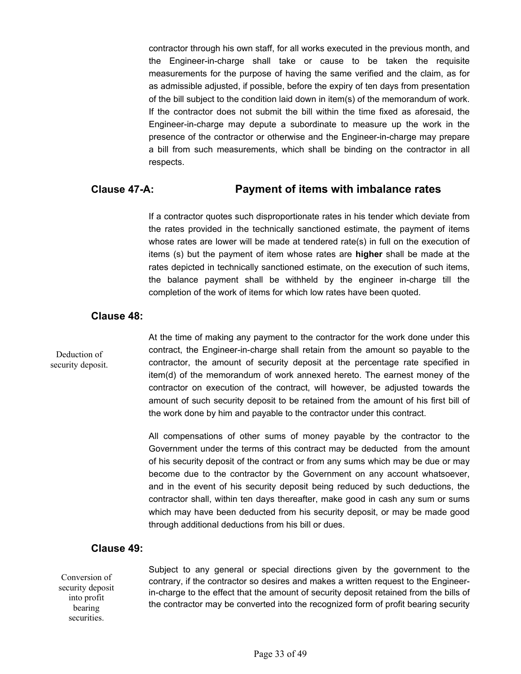contractor through his own staff, for all works executed in the previous month, and the Engineer-in-charge shall take or cause to be taken the requisite measurements for the purpose of having the same verified and the claim, as for as admissible adjusted, if possible, before the expiry of ten days from presentation of the bill subject to the condition laid down in item(s) of the memorandum of work. If the contractor does not submit the bill within the time fixed as aforesaid, the Engineer-in-charge may depute a subordinate to measure up the work in the presence of the contractor or otherwise and the Engineer-in-charge may prepare a bill from such measurements, which shall be binding on the contractor in all respects.

## **Clause 47-A: Payment of items with imbalance rates**

If a contractor quotes such disproportionate rates in his tender which deviate from the rates provided in the technically sanctioned estimate, the payment of items whose rates are lower will be made at tendered rate(s) in full on the execution of items (s) but the payment of item whose rates are **higher** shall be made at the rates depicted in technically sanctioned estimate, on the execution of such items, the balance payment shall be withheld by the engineer in-charge till the completion of the work of items for which low rates have been quoted.

## **Clause 48:**

Deduction of security deposit. At the time of making any payment to the contractor for the work done under this contract, the Engineer-in-charge shall retain from the amount so payable to the contractor, the amount of security deposit at the percentage rate specified in item(d) of the memorandum of work annexed hereto. The earnest money of the contractor on execution of the contract, will however, be adjusted towards the amount of such security deposit to be retained from the amount of his first bill of the work done by him and payable to the contractor under this contract.

All compensations of other sums of money payable by the contractor to the Government under the terms of this contract may be deducted from the amount of his security deposit of the contract or from any sums which may be due or may become due to the contractor by the Government on any account whatsoever, and in the event of his security deposit being reduced by such deductions, the contractor shall, within ten days thereafter, make good in cash any sum or sums which may have been deducted from his security deposit, or may be made good through additional deductions from his bill or dues.

## **Clause 49:**

Conversion of security deposit into profit bearing securities.

Subject to any general or special directions given by the government to the contrary, if the contractor so desires and makes a written request to the Engineerin-charge to the effect that the amount of security deposit retained from the bills of the contractor may be converted into the recognized form of profit bearing security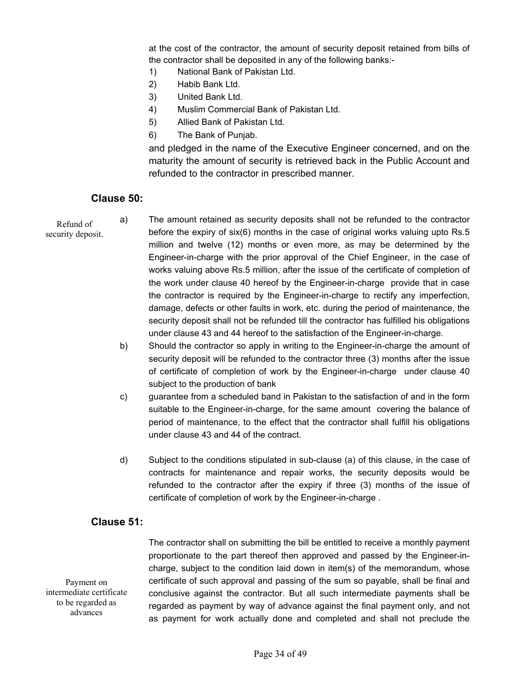at the cost of the contractor, the amount of security deposit retained from bills of the contractor shall be deposited in any of the following banks:-

- 1) National Bank of Pakistan Ltd.
- 2) Habib Bank Ltd.
- 3) United Bank Ltd.
- 4) Muslim Commercial Bank of Pakistan Ltd.
- 5) Allied Bank of Pakistan Ltd.
- 6) The Bank of Punjab.

and pledged in the name of the Executive Engineer concerned, and on the maturity the amount of security is retrieved back in the Public Account and refunded to the contractor in prescribed manner.

## **Clause 50:**

Refund of security deposit. a) The amount retained as security deposits shall not be refunded to the contractor before the expiry of six(6) months in the case of original works valuing upto Rs.5 million and twelve (12) months or even more, as may be determined by the Engineer-in-charge with the prior approval of the Chief Engineer, in the case of works valuing above Rs.5 million, after the issue of the certificate of completion of the work under clause 40 hereof by the Engineer-in-charge provide that in case the contractor is required by the Engineer-in-charge to rectify any imperfection, damage, defects or other faults in work, etc. during the period of maintenance, the security deposit shall not be refunded till the contractor has fulfilled his obligations under clause 43 and 44 hereof to the satisfaction of the Engineer-in-charge.

- b) Should the contractor so apply in writing to the Engineer-in-charge the amount of security deposit will be refunded to the contractor three (3) months after the issue of certificate of completion of work by the Engineer-in-charge under clause 40 subject to the production of bank
- c) guarantee from a scheduled band in Pakistan to the satisfaction of and in the form suitable to the Engineer-in-charge, for the same amount covering the balance of period of maintenance, to the effect that the contractor shall fulfill his obligations under clause 43 and 44 of the contract.
- d) Subject to the conditions stipulated in sub-clause (a) of this clause, in the case of contracts for maintenance and repair works, the security deposits would be refunded to the contractor after the expiry if three (3) months of the issue of certificate of completion of work by the Engineer-in-charge .

## **Clause 51:**

Payment on intermediate certificate to be regarded as advances

The contractor shall on submitting the bill be entitled to receive a monthly payment proportionate to the part thereof then approved and passed by the Engineer-incharge, subject to the condition laid down in item(s) of the memorandum, whose certificate of such approval and passing of the sum so payable, shall be final and conclusive against the contractor. But all such intermediate payments shall be regarded as payment by way of advance against the final payment only, and not as payment for work actually done and completed and shall not preclude the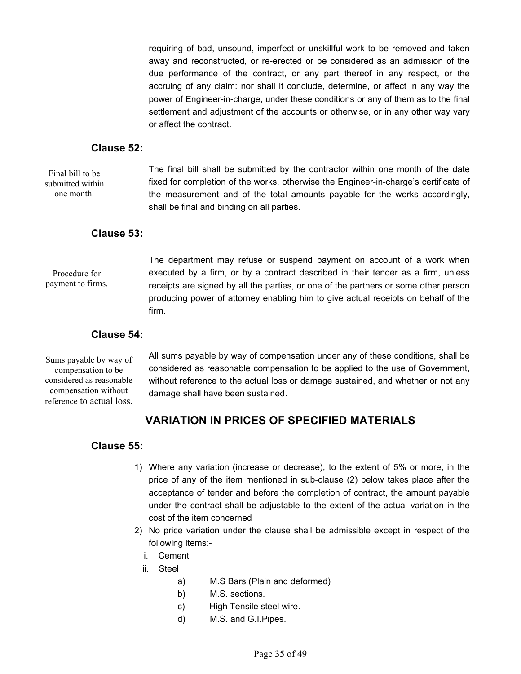requiring of bad, unsound, imperfect or unskillful work to be removed and taken away and reconstructed, or re-erected or be considered as an admission of the due performance of the contract, or any part thereof in any respect, or the accruing of any claim: nor shall it conclude, determine, or affect in any way the power of Engineer-in-charge, under these conditions or any of them as to the final settlement and adjustment of the accounts or otherwise, or in any other way vary or affect the contract.

### **Clause 52:**

Final bill to be submitted within one month.

The final bill shall be submitted by the contractor within one month of the date fixed for completion of the works, otherwise the Engineer-in-charge's certificate of the measurement and of the total amounts payable for the works accordingly, shall be final and binding on all parties.

## **Clause 53:**

Procedure for payment to firms. The department may refuse or suspend payment on account of a work when executed by a firm, or by a contract described in their tender as a firm, unless receipts are signed by all the parties, or one of the partners or some other person producing power of attorney enabling him to give actual receipts on behalf of the firm.

## **Clause 54:**

Sums payable by way of compensation to be considered as reasonable compensation without reference to actual loss.

All sums payable by way of compensation under any of these conditions, shall be considered as reasonable compensation to be applied to the use of Government, without reference to the actual loss or damage sustained, and whether or not any damage shall have been sustained.

## **VARIATION IN PRICES OF SPECIFIED MATERIALS**

## **Clause 55:**

- 1) Where any variation (increase or decrease), to the extent of 5% or more, in the price of any of the item mentioned in sub-clause (2) below takes place after the acceptance of tender and before the completion of contract, the amount payable under the contract shall be adjustable to the extent of the actual variation in the cost of the item concerned
- 2) No price variation under the clause shall be admissible except in respect of the following items:
	- i. Cement
	- ii. Steel
		- a) M.S Bars (Plain and deformed)
		- b) M.S. sections.
		- c) High Tensile steel wire.
		- d) M.S. and G.I.Pipes.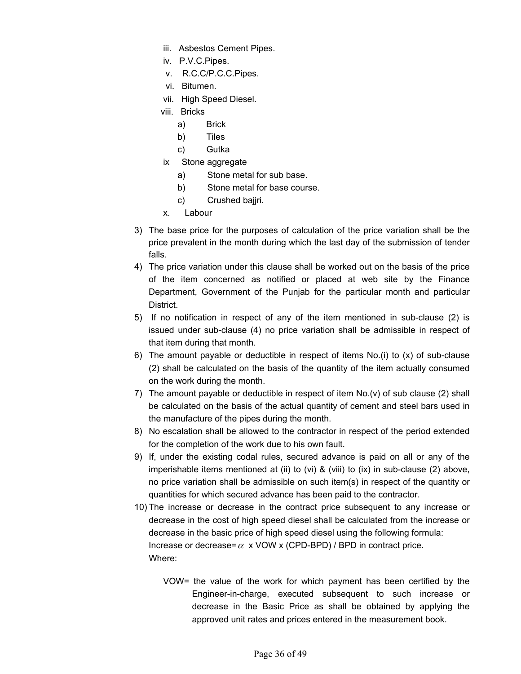- iii. Asbestos Cement Pipes.
- iv. P.V.C.Pipes.
- v. R.C.C/P.C.C.Pipes.
- vi. Bitumen.
- vii. High Speed Diesel.
- viii. Bricks
	- a) Brick
	- b) Tiles
	- c) Gutka
- ix Stone aggregate
	- a) Stone metal for sub base.
	- b) Stone metal for base course.
	- c) Crushed bajjri.
- x. Labour
- 3) The base price for the purposes of calculation of the price variation shall be the price prevalent in the month during which the last day of the submission of tender falls.
- 4) The price variation under this clause shall be worked out on the basis of the price of the item concerned as notified or placed at web site by the Finance Department, Government of the Punjab for the particular month and particular District.
- 5) If no notification in respect of any of the item mentioned in sub-clause (2) is issued under sub-clause (4) no price variation shall be admissible in respect of that item during that month.
- 6) The amount payable or deductible in respect of items No.(i) to (x) of sub-clause (2) shall be calculated on the basis of the quantity of the item actually consumed on the work during the month.
- 7) The amount payable or deductible in respect of item No.(v) of sub clause (2) shall be calculated on the basis of the actual quantity of cement and steel bars used in the manufacture of the pipes during the month.
- 8) No escalation shall be allowed to the contractor in respect of the period extended for the completion of the work due to his own fault.
- 9) If, under the existing codal rules, secured advance is paid on all or any of the imperishable items mentioned at (ii) to (vi) & (viii) to (ix) in sub-clause (2) above, no price variation shall be admissible on such item(s) in respect of the quantity or quantities for which secured advance has been paid to the contractor.
- 10) The increase or decrease in the contract price subsequent to any increase or decrease in the cost of high speed diesel shall be calculated from the increase or decrease in the basic price of high speed diesel using the following formula: Increase or decrease=  $\alpha$  x VOW x (CPD-BPD) / BPD in contract price. Where:
	- VOW= the value of the work for which payment has been certified by the Engineer-in-charge, executed subsequent to such increase or decrease in the Basic Price as shall be obtained by applying the approved unit rates and prices entered in the measurement book.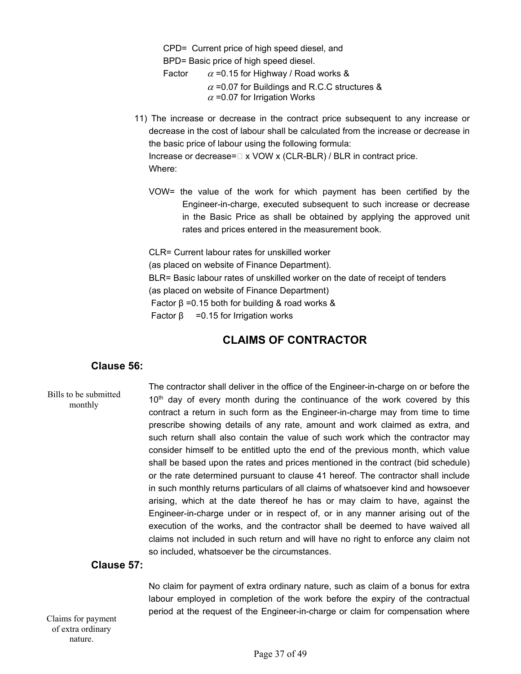CPD= Current price of high speed diesel, and BPD= Basic price of high speed diesel. Factor  $\alpha$  =0.15 for Highway / Road works &  $\alpha$  =0.07 for Buildings and R.C.C structures &  $\alpha$  =0.07 for Irrigation Works

- 11) The increase or decrease in the contract price subsequent to any increase or decrease in the cost of labour shall be calculated from the increase or decrease in the basic price of labour using the following formula: Increase or decrease= $\Box$  x VOW x (CLR-BLR) / BLR in contract price. Where:
	- VOW= the value of the work for which payment has been certified by the Engineer-in-charge, executed subsequent to such increase or decrease in the Basic Price as shall be obtained by applying the approved unit rates and prices entered in the measurement book.

CLR= Current labour rates for unskilled worker (as placed on website of Finance Department). BLR= Basic labour rates of unskilled worker on the date of receipt of tenders (as placed on website of Finance Department) Factor  $β = 0.15$  both for building & road works &  $Factor β = 0.15$  for Irrigation works

## **CLAIMS OF CONTRACTOR**

## **Clause 56:**

The contractor shall deliver in the office of the Engineer-in-charge on or before the  $10<sup>th</sup>$  day of every month during the continuance of the work covered by this contract a return in such form as the Engineer-in-charge may from time to time prescribe showing details of any rate, amount and work claimed as extra, and such return shall also contain the value of such work which the contractor may consider himself to be entitled upto the end of the previous month, which value shall be based upon the rates and prices mentioned in the contract (bid schedule) or the rate determined pursuant to clause 41 hereof. The contractor shall include in such monthly returns particulars of all claims of whatsoever kind and howsoever arising, which at the date thereof he has or may claim to have, against the Engineer-in-charge under or in respect of, or in any manner arising out of the execution of the works, and the contractor shall be deemed to have waived all claims not included in such return and will have no right to enforce any claim not so included, whatsoever be the circumstances. Bills to be submitted monthly

## **Clause 57:**

No claim for payment of extra ordinary nature, such as claim of a bonus for extra labour employed in completion of the work before the expiry of the contractual period at the request of the Engineer-in-charge or claim for compensation where Claims for payment

of extra ordinary nature.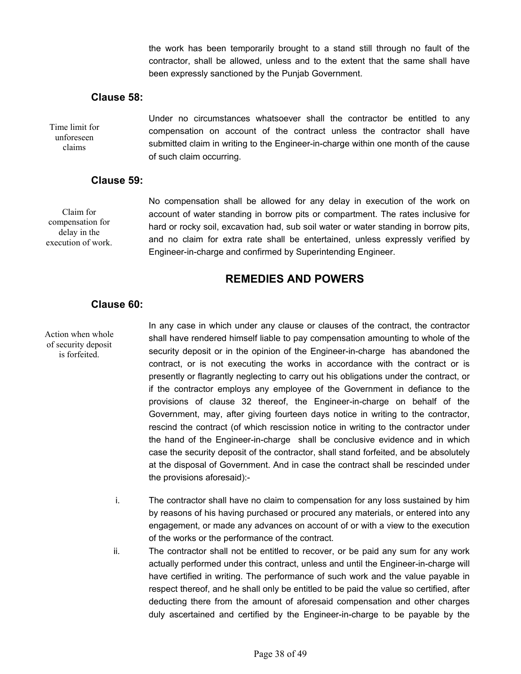the work has been temporarily brought to a stand still through no fault of the contractor, shall be allowed, unless and to the extent that the same shall have been expressly sanctioned by the Punjab Government.

## **Clause 58:**

Under no circumstances whatsoever shall the contractor be entitled to any compensation on account of the contract unless the contractor shall have submitted claim in writing to the Engineer-in-charge within one month of the cause of such claim occurring. Time limit for unforeseen claims

## **Clause 59:**

Claim for compensation for delay in the execution of work. No compensation shall be allowed for any delay in execution of the work on account of water standing in borrow pits or compartment. The rates inclusive for hard or rocky soil, excavation had, sub soil water or water standing in borrow pits, and no claim for extra rate shall be entertained, unless expressly verified by Engineer-in-charge and confirmed by Superintending Engineer.

## **REMEDIES AND POWERS**

## **Clause 60:**

Action when whole of security deposit is forfeited.

In any case in which under any clause or clauses of the contract, the contractor shall have rendered himself liable to pay compensation amounting to whole of the security deposit or in the opinion of the Engineer-in-charge has abandoned the contract, or is not executing the works in accordance with the contract or is presently or flagrantly neglecting to carry out his obligations under the contract, or if the contractor employs any employee of the Government in defiance to the provisions of clause 32 thereof, the Engineer-in-charge on behalf of the Government, may, after giving fourteen days notice in writing to the contractor, rescind the contract (of which rescission notice in writing to the contractor under the hand of the Engineer-in-charge shall be conclusive evidence and in which case the security deposit of the contractor, shall stand forfeited, and be absolutely at the disposal of Government. And in case the contract shall be rescinded under the provisions aforesaid):-

- i. The contractor shall have no claim to compensation for any loss sustained by him by reasons of his having purchased or procured any materials, or entered into any engagement, or made any advances on account of or with a view to the execution of the works or the performance of the contract.
- ii. The contractor shall not be entitled to recover, or be paid any sum for any work actually performed under this contract, unless and until the Engineer-in-charge will have certified in writing. The performance of such work and the value payable in respect thereof, and he shall only be entitled to be paid the value so certified, after deducting there from the amount of aforesaid compensation and other charges duly ascertained and certified by the Engineer-in-charge to be payable by the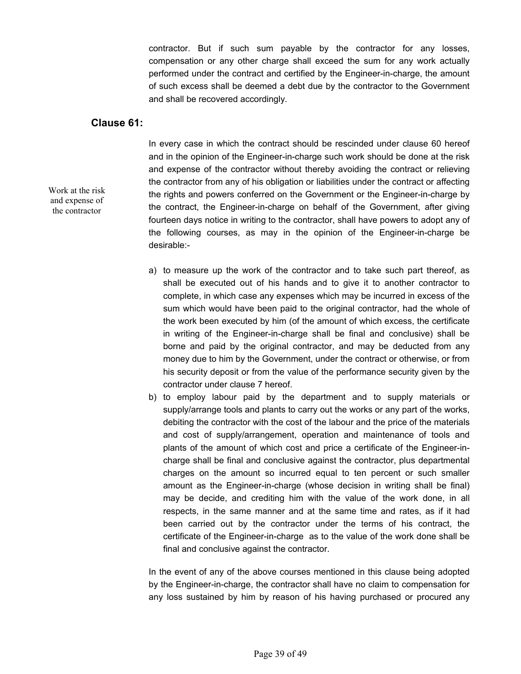contractor. But if such sum payable by the contractor for any losses, compensation or any other charge shall exceed the sum for any work actually performed under the contract and certified by the Engineer-in-charge, the amount of such excess shall be deemed a debt due by the contractor to the Government and shall be recovered accordingly.

## **Clause 61:**

Work at the risk and expense of the contractor

In every case in which the contract should be rescinded under clause 60 hereof and in the opinion of the Engineer-in-charge such work should be done at the risk and expense of the contractor without thereby avoiding the contract or relieving the contractor from any of his obligation or liabilities under the contract or affecting the rights and powers conferred on the Government or the Engineer-in-charge by the contract, the Engineer-in-charge on behalf of the Government, after giving fourteen days notice in writing to the contractor, shall have powers to adopt any of the following courses, as may in the opinion of the Engineer-in-charge be desirable:-

- a) to measure up the work of the contractor and to take such part thereof, as shall be executed out of his hands and to give it to another contractor to complete, in which case any expenses which may be incurred in excess of the sum which would have been paid to the original contractor, had the whole of the work been executed by him (of the amount of which excess, the certificate in writing of the Engineer-in-charge shall be final and conclusive) shall be borne and paid by the original contractor, and may be deducted from any money due to him by the Government, under the contract or otherwise, or from his security deposit or from the value of the performance security given by the contractor under clause 7 hereof.
- b) to employ labour paid by the department and to supply materials or supply/arrange tools and plants to carry out the works or any part of the works, debiting the contractor with the cost of the labour and the price of the materials and cost of supply/arrangement, operation and maintenance of tools and plants of the amount of which cost and price a certificate of the Engineer-incharge shall be final and conclusive against the contractor, plus departmental charges on the amount so incurred equal to ten percent or such smaller amount as the Engineer-in-charge (whose decision in writing shall be final) may be decide, and crediting him with the value of the work done, in all respects, in the same manner and at the same time and rates, as if it had been carried out by the contractor under the terms of his contract, the certificate of the Engineer-in-charge as to the value of the work done shall be final and conclusive against the contractor.

In the event of any of the above courses mentioned in this clause being adopted by the Engineer-in-charge, the contractor shall have no claim to compensation for any loss sustained by him by reason of his having purchased or procured any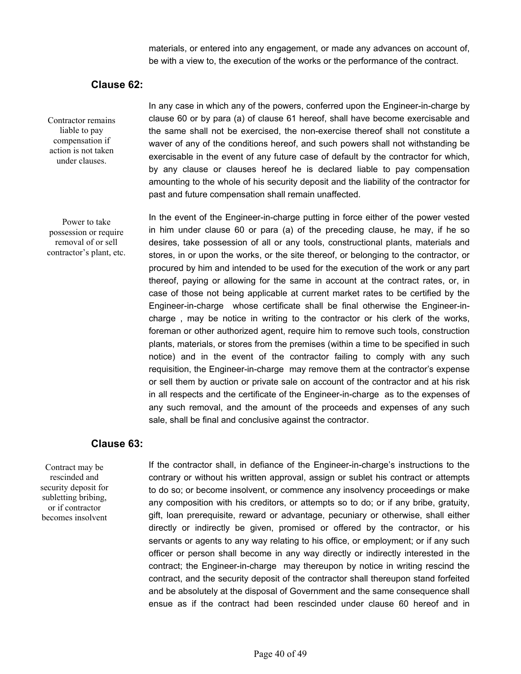materials, or entered into any engagement, or made any advances on account of, be with a view to, the execution of the works or the performance of the contract.

## **Clause 62:**

Contractor remains liable to pay compensation if action is not taken under clauses.

Power to take possession or require removal of or sell contractor's plant, etc. In any case in which any of the powers, conferred upon the Engineer-in-charge by clause 60 or by para (a) of clause 61 hereof, shall have become exercisable and the same shall not be exercised, the non-exercise thereof shall not constitute a waver of any of the conditions hereof, and such powers shall not withstanding be exercisable in the event of any future case of default by the contractor for which, by any clause or clauses hereof he is declared liable to pay compensation amounting to the whole of his security deposit and the liability of the contractor for past and future compensation shall remain unaffected.

In the event of the Engineer-in-charge putting in force either of the power vested in him under clause 60 or para (a) of the preceding clause, he may, if he so desires, take possession of all or any tools, constructional plants, materials and stores, in or upon the works, or the site thereof, or belonging to the contractor, or procured by him and intended to be used for the execution of the work or any part thereof, paying or allowing for the same in account at the contract rates, or, in case of those not being applicable at current market rates to be certified by the Engineer-in-charge whose certificate shall be final otherwise the Engineer-incharge , may be notice in writing to the contractor or his clerk of the works, foreman or other authorized agent, require him to remove such tools, construction plants, materials, or stores from the premises (within a time to be specified in such notice) and in the event of the contractor failing to comply with any such requisition, the Engineer-in-charge may remove them at the contractor's expense or sell them by auction or private sale on account of the contractor and at his risk in all respects and the certificate of the Engineer-in-charge as to the expenses of any such removal, and the amount of the proceeds and expenses of any such sale, shall be final and conclusive against the contractor.

### **Clause 63:**

Contract may be rescinded and security deposit for subletting bribing, or if contractor becomes insolvent

If the contractor shall, in defiance of the Engineer-in-charge's instructions to the contrary or without his written approval, assign or sublet his contract or attempts to do so; or become insolvent, or commence any insolvency proceedings or make any composition with his creditors, or attempts so to do; or if any bribe, gratuity, gift, loan prerequisite, reward or advantage, pecuniary or otherwise, shall either directly or indirectly be given, promised or offered by the contractor, or his servants or agents to any way relating to his office, or employment; or if any such officer or person shall become in any way directly or indirectly interested in the contract; the Engineer-in-charge may thereupon by notice in writing rescind the contract, and the security deposit of the contractor shall thereupon stand forfeited and be absolutely at the disposal of Government and the same consequence shall ensue as if the contract had been rescinded under clause 60 hereof and in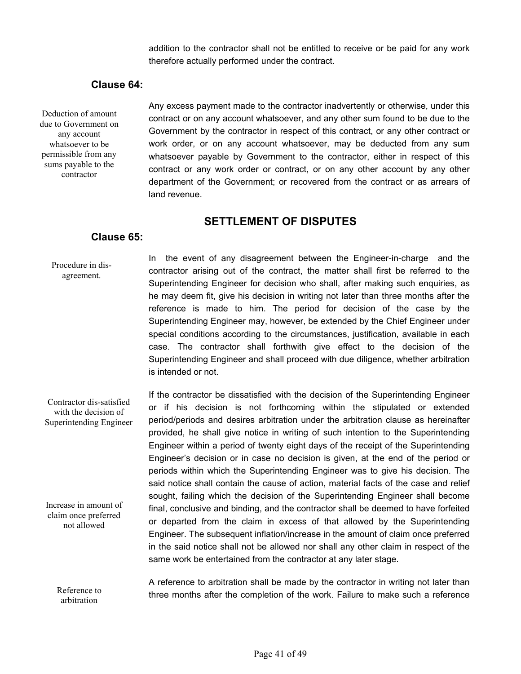addition to the contractor shall not be entitled to receive or be paid for any work therefore actually performed under the contract.

## **Clause 64:**

Deduction of amount due to Government on any account whatsoever to be permissible from any sums payable to the contractor

Any excess payment made to the contractor inadvertently or otherwise, under this contract or on any account whatsoever, and any other sum found to be due to the Government by the contractor in respect of this contract, or any other contract or work order, or on any account whatsoever, may be deducted from any sum whatsoever payable by Government to the contractor, either in respect of this contract or any work order or contract, or on any other account by any other department of the Government; or recovered from the contract or as arrears of land revenue.

## **SETTLEMENT OF DISPUTES**

## **Clause 65:**

Procedure in disagreement.

In the event of any disagreement between the Engineer-in-charge and the contractor arising out of the contract, the matter shall first be referred to the Superintending Engineer for decision who shall, after making such enquiries, as he may deem fit, give his decision in writing not later than three months after the reference is made to him. The period for decision of the case by the Superintending Engineer may, however, be extended by the Chief Engineer under special conditions according to the circumstances, justification, available in each case. The contractor shall forthwith give effect to the decision of the Superintending Engineer and shall proceed with due diligence, whether arbitration is intended or not.

If the contractor be dissatisfied with the decision of the Superintending Engineer or if his decision is not forthcoming within the stipulated or extended period/periods and desires arbitration under the arbitration clause as hereinafter provided, he shall give notice in writing of such intention to the Superintending Engineer within a period of twenty eight days of the receipt of the Superintending Engineer's decision or in case no decision is given, at the end of the period or periods within which the Superintending Engineer was to give his decision. The said notice shall contain the cause of action, material facts of the case and relief sought, failing which the decision of the Superintending Engineer shall become final, conclusive and binding, and the contractor shall be deemed to have forfeited or departed from the claim in excess of that allowed by the Superintending Engineer. The subsequent inflation/increase in the amount of claim once preferred in the said notice shall not be allowed nor shall any other claim in respect of the same work be entertained from the contractor at any later stage. Contractor dis-satisfied with the decision of Superintending Engineer Increase in amount of claim once preferred not allowed

A reference to arbitration shall be made by the contractor in writing not later than three months after the completion of the work. Failure to make such a reference Reference to arbitration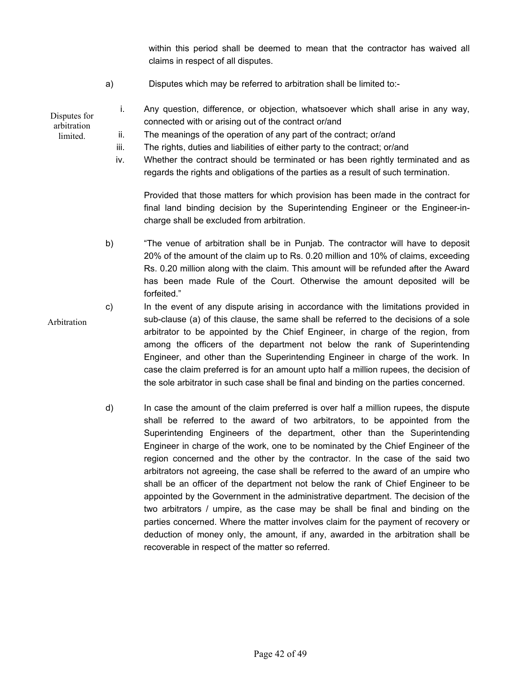within this period shall be deemed to mean that the contractor has waived all claims in respect of all disputes.

a) Disputes which may be referred to arbitration shall be limited to:-

#### i. Any question, difference, or objection, whatsoever which shall arise in any way, connected with or arising out of the contract or/and Disputes for arbitration

ii. The meanings of the operation of any part of the contract; or/and

**limited** 

- iii. The rights, duties and liabilities of either party to the contract; or/and
- iv. Whether the contract should be terminated or has been rightly terminated and as regards the rights and obligations of the parties as a result of such termination.

Provided that those matters for which provision has been made in the contract for final land binding decision by the Superintending Engineer or the Engineer-incharge shall be excluded from arbitration.

- b) "The venue of arbitration shall be in Punjab. The contractor will have to deposit 20% of the amount of the claim up to Rs. 0.20 million and 10% of claims, exceeding Rs. 0.20 million along with the claim. This amount will be refunded after the Award has been made Rule of the Court. Otherwise the amount deposited will be forfeited."
- c) In the event of any dispute arising in accordance with the limitations provided in sub-clause (a) of this clause, the same shall be referred to the decisions of a sole arbitrator to be appointed by the Chief Engineer, in charge of the region, from among the officers of the department not below the rank of Superintending Engineer, and other than the Superintending Engineer in charge of the work. In case the claim preferred is for an amount upto half a million rupees, the decision of the sole arbitrator in such case shall be final and binding on the parties concerned. Arbitration
	- d) In case the amount of the claim preferred is over half a million rupees, the dispute shall be referred to the award of two arbitrators, to be appointed from the Superintending Engineers of the department, other than the Superintending Engineer in charge of the work, one to be nominated by the Chief Engineer of the region concerned and the other by the contractor. In the case of the said two arbitrators not agreeing, the case shall be referred to the award of an umpire who shall be an officer of the department not below the rank of Chief Engineer to be appointed by the Government in the administrative department. The decision of the two arbitrators / umpire, as the case may be shall be final and binding on the parties concerned. Where the matter involves claim for the payment of recovery or deduction of money only, the amount, if any, awarded in the arbitration shall be recoverable in respect of the matter so referred.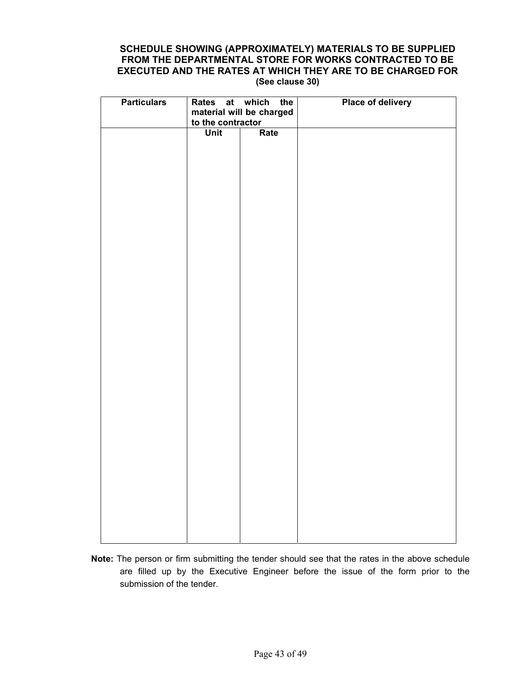## **SCHEDULE SHOWING (APPROXIMATELY) MATERIALS TO BE SUPPLIED FROM THE DEPARTMENTAL STORE FOR WORKS CONTRACTED TO BE EXECUTED AND THE RATES AT WHICH THEY ARE TO BE CHARGED FOR (See clause 30)**

| <b>Particulars</b> | to the contractor | Rates at which the<br>material will be charged | <b>Place of delivery</b> |  |  |  |  |
|--------------------|-------------------|------------------------------------------------|--------------------------|--|--|--|--|
|                    | Unit              | Rate                                           |                          |  |  |  |  |
|                    |                   |                                                |                          |  |  |  |  |
|                    |                   |                                                |                          |  |  |  |  |
|                    |                   |                                                |                          |  |  |  |  |
|                    |                   |                                                |                          |  |  |  |  |
|                    |                   |                                                |                          |  |  |  |  |
|                    |                   |                                                |                          |  |  |  |  |
|                    |                   |                                                |                          |  |  |  |  |
|                    |                   |                                                |                          |  |  |  |  |
|                    |                   |                                                |                          |  |  |  |  |
|                    |                   |                                                |                          |  |  |  |  |
|                    |                   |                                                |                          |  |  |  |  |
|                    |                   |                                                |                          |  |  |  |  |
|                    |                   |                                                |                          |  |  |  |  |
|                    |                   |                                                |                          |  |  |  |  |
|                    |                   |                                                |                          |  |  |  |  |
|                    |                   |                                                |                          |  |  |  |  |

**Note:** The person or firm submitting the tender should see that the rates in the above schedule are filled up by the Executive Engineer before the issue of the form prior to the submission of the tender.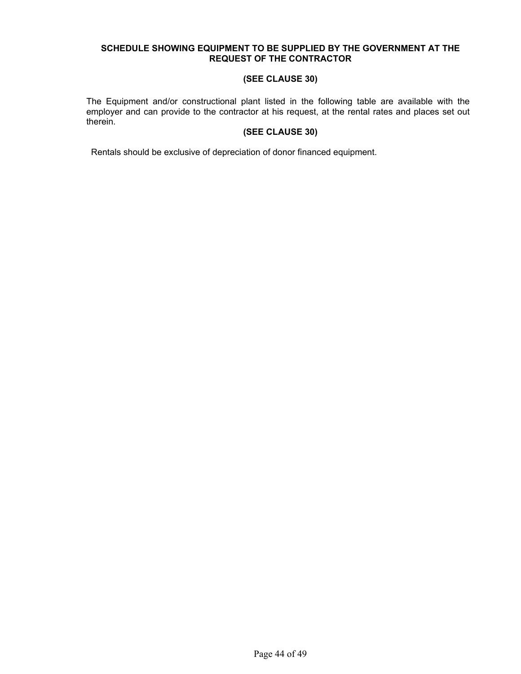#### **SCHEDULE SHOWING EQUIPMENT TO BE SUPPLIED BY THE GOVERNMENT AT THE REQUEST OF THE CONTRACTOR**

#### **(SEE CLAUSE 30)**

The Equipment and/or constructional plant listed in the following table are available with the employer and can provide to the contractor at his request, at the rental rates and places set out therein.

## **(SEE CLAUSE 30)**

Rentals should be exclusive of depreciation of donor financed equipment.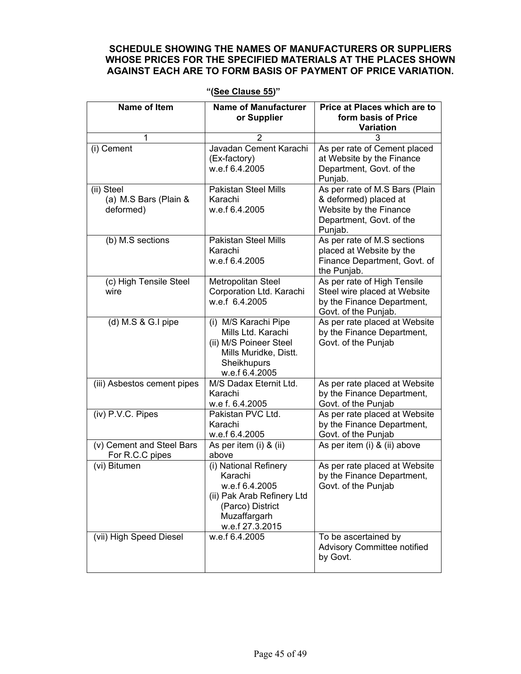## **SCHEDULE SHOWING THE NAMES OF MANUFACTURERS OR SUPPLIERS WHOSE PRICES FOR THE SPECIFIED MATERIALS AT THE PLACES SHOWN AGAINST EACH ARE TO FORM BASIS OF PAYMENT OF PRICE VARIATION.**

| <b>Name of Item</b>                              | <b>Name of Manufacturer</b><br>or Supplier                                                                                              | Price at Places which are to<br>form basis of Price<br><b>Variation</b>                                                  |  |  |  |
|--------------------------------------------------|-----------------------------------------------------------------------------------------------------------------------------------------|--------------------------------------------------------------------------------------------------------------------------|--|--|--|
| 1                                                | 2                                                                                                                                       | 3                                                                                                                        |  |  |  |
| (i) Cement                                       | Javadan Cement Karachi<br>(Ex-factory)<br>w.e.f 6.4.2005                                                                                | As per rate of Cement placed<br>at Website by the Finance<br>Department, Govt. of the<br>Punjab.                         |  |  |  |
| (ii) Steel<br>(a) M.S Bars (Plain &<br>deformed) | Pakistan Steel Mills<br>Karachi<br>w.e.f 6.4.2005                                                                                       | As per rate of M.S Bars (Plain<br>& deformed) placed at<br>Website by the Finance<br>Department, Govt. of the<br>Punjab. |  |  |  |
| (b) M.S sections                                 | Pakistan Steel Mills<br>Karachi<br>w.e.f 6.4.2005                                                                                       | As per rate of M.S sections<br>placed at Website by the<br>Finance Department, Govt. of<br>the Punjab.                   |  |  |  |
| (c) High Tensile Steel<br>wire                   | Metropolitan Steel<br>Corporation Ltd. Karachi<br>w.e.f 6.4.2005                                                                        | As per rate of High Tensile<br>Steel wire placed at Website<br>by the Finance Department,<br>Govt. of the Punjab.        |  |  |  |
| $(d)$ M.S & G.I pipe                             | (i) M/S Karachi Pipe<br>Mills Ltd. Karachi<br>(ii) M/S Poineer Steel<br>Mills Muridke, Distt.<br>Sheikhupurs<br>w.e.f 6.4.2005          | As per rate placed at Website<br>by the Finance Department,<br>Govt. of the Punjab                                       |  |  |  |
| (iii) Asbestos cement pipes                      | M/S Dadax Eternit Ltd.<br>Karachi<br>w.e f. 6.4.2005                                                                                    | As per rate placed at Website<br>by the Finance Department,<br>Govt. of the Punjab                                       |  |  |  |
| (iv) P.V.C. Pipes                                | Pakistan PVC Ltd.<br>Karachi<br>w.e.f 6.4.2005                                                                                          | As per rate placed at Website<br>by the Finance Department,<br>Govt. of the Punjab                                       |  |  |  |
| (v) Cement and Steel Bars<br>For R.C.C pipes     | As per item (i) $\overline{8}$ (ii)<br>above                                                                                            | As per item (i) & (ii) above                                                                                             |  |  |  |
| (vi) Bitumen                                     | (i) National Refinery<br>Karachi<br>w.e.f 6.4.2005<br>(ii) Pak Arab Refinery Ltd<br>(Parco) District<br>Muzaffargarh<br>w.e.f 27.3.2015 | As per rate placed at Website<br>by the Finance Department,<br>Govt. of the Punjab                                       |  |  |  |
| (vii) High Speed Diesel                          | w.e.f 6.4.2005                                                                                                                          | To be ascertained by<br>Advisory Committee notified<br>by Govt.                                                          |  |  |  |

**"(See Clause 55)"**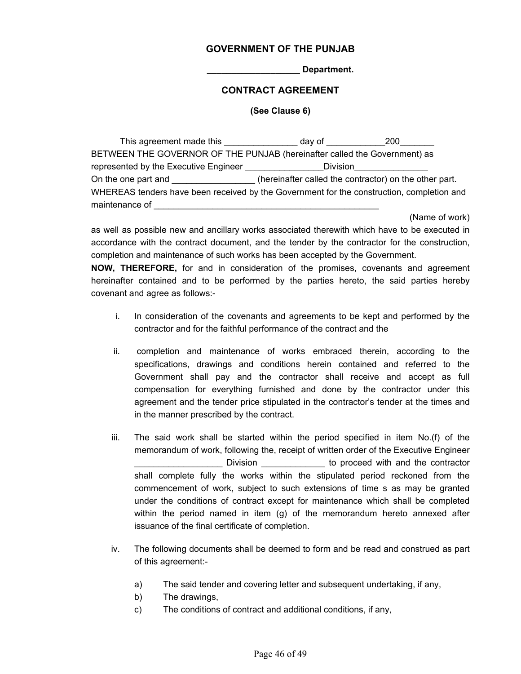#### **GOVERNMENT OF THE PUNJAB**

**\_\_\_\_\_\_\_\_\_\_\_\_\_\_\_\_\_\_\_ Department.** 

#### **CONTRACT AGREEMENT**

#### **(See Clause 6)**

This agreement made this example and day of this agreement made this BETWEEN THE GOVERNOR OF THE PUNJAB (hereinafter called the Government) as represented by the Executive Engineer \_\_\_\_\_\_\_\_\_\_\_\_\_\_\_\_\_\_Division\_ On the one part and  $\Box$  (hereinafter called the contractor) on the other part. WHEREAS tenders have been received by the Government for the construction, completion and maintenance of

(Name of work)

as well as possible new and ancillary works associated therewith which have to be executed in accordance with the contract document, and the tender by the contractor for the construction, completion and maintenance of such works has been accepted by the Government.

**NOW, THEREFORE,** for and in consideration of the promises, covenants and agreement hereinafter contained and to be performed by the parties hereto, the said parties hereby covenant and agree as follows:-

- i. In consideration of the covenants and agreements to be kept and performed by the contractor and for the faithful performance of the contract and the
- ii. completion and maintenance of works embraced therein, according to the specifications, drawings and conditions herein contained and referred to the Government shall pay and the contractor shall receive and accept as full compensation for everything furnished and done by the contractor under this agreement and the tender price stipulated in the contractor's tender at the times and in the manner prescribed by the contract.
- iii. The said work shall be started within the period specified in item No.(f) of the memorandum of work, following the, receipt of written order of the Executive Engineer Division \_\_\_\_\_\_\_\_\_\_\_\_\_\_\_ to proceed with and the contractor shall complete fully the works within the stipulated period reckoned from the commencement of work, subject to such extensions of time s as may be granted under the conditions of contract except for maintenance which shall be completed within the period named in item (g) of the memorandum hereto annexed after issuance of the final certificate of completion.
- iv. The following documents shall be deemed to form and be read and construed as part of this agreement:
	- a) The said tender and covering letter and subsequent undertaking, if any,
	- b) The drawings,
	- c) The conditions of contract and additional conditions, if any,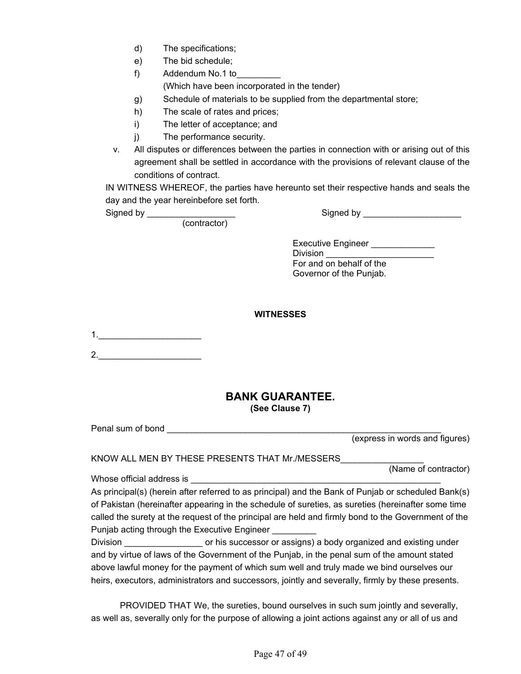| d) | The specifications; |
|----|---------------------|
|----|---------------------|

e) The bid schedule;

f) Addendum No.1 to (Which have been incorporated in the tender)

- g) Schedule of materials to be supplied from the departmental store;
- h) The scale of rates and prices;
- i) The letter of acceptance; and
- j) The performance security.
- v. All disputes or differences between the parties in connection with or arising out of this agreement shall be settled in accordance with the provisions of relevant clause of the conditions of contract.

IN WITNESS WHEREOF, the parties have hereunto set their respective hands and seals the day and the year hereinbefore set forth.

(contractor)

Signed by \_\_\_\_\_\_\_\_\_\_\_\_\_\_\_\_\_\_ Signed by \_\_\_\_\_\_\_\_\_\_\_\_\_\_\_\_\_\_\_\_

Executive Engineer \_\_\_\_\_\_\_\_\_\_ Division **Division**  For and on behalf of the Governor of the Punjab.

#### **WITNESSES**

2.

Whose official address is

## **BANK GUARANTEE. (See Clause 7)**

Penal sum of bond

(express in words and figures)

| KNOW ALL MEN BY THESE PRESENTS THAT Mr./MESSERS |  |
|-------------------------------------------------|--|
|                                                 |  |

(Name of contractor)

As principal(s) (herein after referred to as principal) and the Bank of Punjab or scheduled Bank(s) of Pakistan (hereinafter appearing in the schedule of sureties, as sureties (hereinafter some time called the surety at the request of the principal are held and firmly bond to the Government of the Punjab acting through the Executive Engineer \_\_\_\_\_\_\_\_\_

Division **Division** or his successor or assigns) a body organized and existing under and by virtue of laws of the Government of the Punjab, in the penal sum of the amount stated above lawful money for the payment of which sum well and truly made we bind ourselves our heirs, executors, administrators and successors, jointly and severally, firmly by these presents.

 PROVIDED THAT We, the sureties, bound ourselves in such sum jointly and severally, as well as, severally only for the purpose of allowing a joint actions against any or all of us and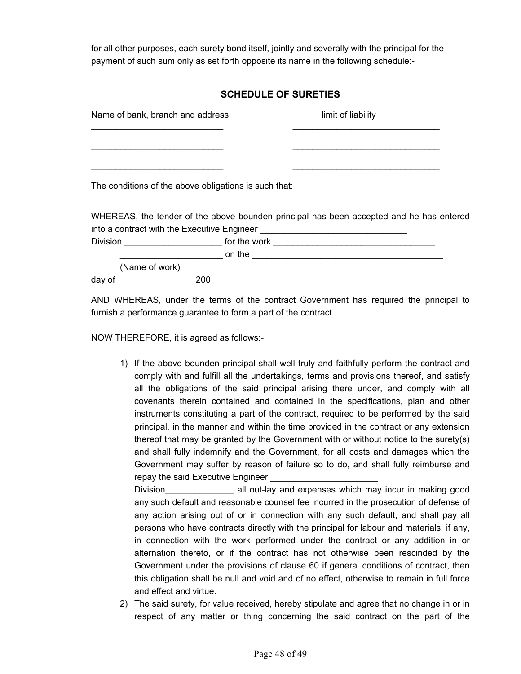for all other purposes, each surety bond itself, jointly and severally with the principal for the payment of such sum only as set forth opposite its name in the following schedule:-

## **SCHEDULE OF SURETIES**

|        | Name of bank, branch and address                      | limit of liability                                                                                                                                                                                                                        |  |
|--------|-------------------------------------------------------|-------------------------------------------------------------------------------------------------------------------------------------------------------------------------------------------------------------------------------------------|--|
|        |                                                       |                                                                                                                                                                                                                                           |  |
|        |                                                       |                                                                                                                                                                                                                                           |  |
|        | The conditions of the above obligations is such that: |                                                                                                                                                                                                                                           |  |
|        |                                                       | WHEREAS, the tender of the above bounden principal has been accepted and he has entered                                                                                                                                                   |  |
|        |                                                       |                                                                                                                                                                                                                                           |  |
|        |                                                       | Division <b>Example 20</b> for the work <b>CONSIDERING CONSIDERING CONSIDERING CONSIDERING CONSIDERING CONSIDERING CONSIDERING CONSIDERING CONSIDERING CONSIDERING CONSIDERING CONSIDERING CONSIDERING CONSIDERING CONSIDERING CONSID</b> |  |
|        |                                                       | <b>Example 2008 The Contract on the Contract on the Contract of the Contract of the Contract of the Contract of the Contract of the Contract of the Contract of the Contract of the Contract of the Contract of the Contract of </b>      |  |
|        | (Name of work)                                        |                                                                                                                                                                                                                                           |  |
| day of | 200                                                   |                                                                                                                                                                                                                                           |  |

AND WHEREAS, under the terms of the contract Government has required the principal to furnish a performance guarantee to form a part of the contract.

NOW THEREFORE, it is agreed as follows:-

1) If the above bounden principal shall well truly and faithfully perform the contract and comply with and fulfill all the undertakings, terms and provisions thereof, and satisfy all the obligations of the said principal arising there under, and comply with all covenants therein contained and contained in the specifications, plan and other instruments constituting a part of the contract, required to be performed by the said principal, in the manner and within the time provided in the contract or any extension thereof that may be granted by the Government with or without notice to the surety(s) and shall fully indemnify and the Government, for all costs and damages which the Government may suffer by reason of failure so to do, and shall fully reimburse and repay the said Executive Engineer

Division\_\_\_\_\_\_\_\_\_\_\_\_\_\_ all out-lay and expenses which may incur in making good any such default and reasonable counsel fee incurred in the prosecution of defense of any action arising out of or in connection with any such default, and shall pay all persons who have contracts directly with the principal for labour and materials; if any, in connection with the work performed under the contract or any addition in or alternation thereto, or if the contract has not otherwise been rescinded by the Government under the provisions of clause 60 if general conditions of contract, then this obligation shall be null and void and of no effect, otherwise to remain in full force and effect and virtue.

2) The said surety, for value received, hereby stipulate and agree that no change in or in respect of any matter or thing concerning the said contract on the part of the